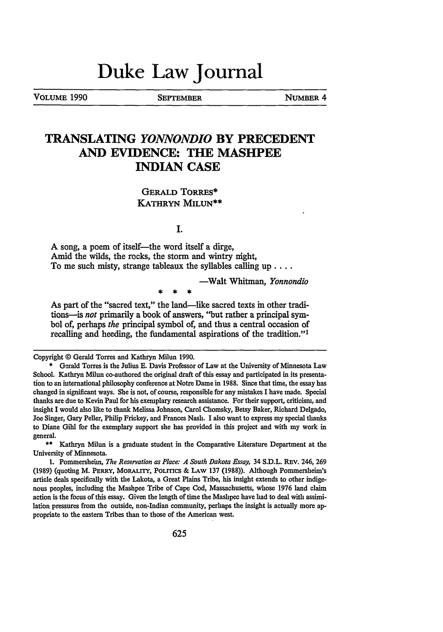# **Duke Law Journal**

**VOLUME 1990 SEPTEMBER NUMBER 4** 

# **TRANSLATING** *YONNONDIO* **BY PRECEDENT AND EVIDENCE: THE MASHPEE INDIAN CASE**

## GERALD TORRES\* **KATHRYN MILUN\*\***

# **I.**

A song, a poem of itself—the word itself a dirge, Amid the wilds, the rocks, the storm and wintry night, To me such misty, strange tableaux the syllables calling up  $\dots$ .

-Walt Whitman, *Yonnondio*

As part of the "sacred text," the land-like sacred texts in other traditions-is *not* primarily a book of answers, "but rather a principal symbol of, perhaps *the* principal symbol of, and thus a central occasion of recalling and heeding, the fundamental aspirations of the tradition."1

Copyright © Gerald Torres and Kathryn Milun **1990.**

**\*\*** Kathryn Milun is a graduate student in the Comparative Literature Department at the University of Minnesota.

**1.** Pommersheim, *The Reservation as Place: A South Dakota Essay,* 34 **S.D.L. REV.** 246, **269 (1989)** (quoting M. **PERRY,** MORALrrY, PoLrrics **& LAW 137 (1988)).** Although Pommersheim's article deals specifically with the Lakota, a Great Plains Tribe, his insight extends to other indigenous peoples, including the Mashpee Tribe of Cape Cod, Massachusetts, whose **1976** land claim action is the focus of this essay. Given the length of time the Mashpee have had to deal with assimilation pressures from the outside, non-Indian community, perhaps the insight is actually more appropriate to the eastern Tribes than to those of the American west.

**<sup>\*</sup>** Gerald Torres is the Julius **E.** Davis Professor of Law at the University of Minnesota Law School. Kathryn Milun co-authored the original draft of this essay and participated in its presentation to an international philosophy conference at Notre Dame in **1988.** Since that time, the essay has changed in significant ways. She is not, of course, responsible for any mistakes I have made. Special thanks are due to Kevin Paul for his exemplary research assistance. For their support, criticism, and insight **I** would also like to thank Melissa Johnson, Carol Chomsky, Betsy Baker, Richard Delgado, Joe Singer, Gary Peller, Philip Frickey, and Frances Nash. **I** also want to express my special thanks to Diane Gihl for the exemplary support she has provided in this project and with my work in general.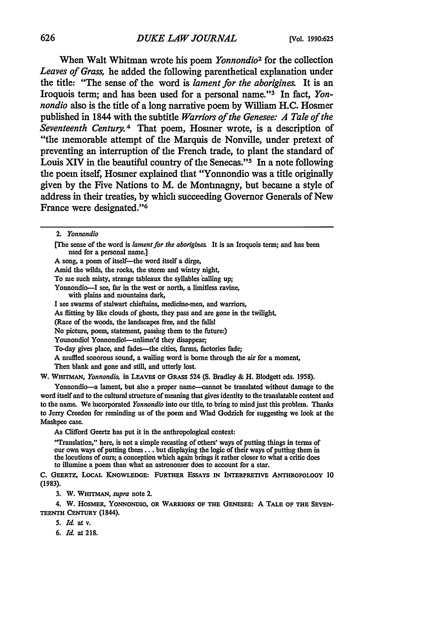When Walt Whitman wrote his poem *Yonnondio2* for the collection *Leaves of Grass,* he added the following parenthetical explanation under the title: "The sense of the word is *lament for the aborigines.* It is an Iroquois term; and has been used for a personal name."' 3 In fact, *Yonnondio* also is the title of a long narrative poem **by** William **H.C.** Hosmer published in 1844 with the subtitle *Warriors of the Genesee: A Tale of the Seventeenth Century.4* That poem, Hosmer wrote, is a description of "the memorable attempt of the Marquis de Nonville, under pretext of preventing an interruption of the French trade, to plant the standard of Louis XIV in the beautiful country of the Senecas."<sup>5</sup> In a note following the poem itself, Hosmer explained that "Yonnondio was a title originally given **by** the Five Nations to M. de Montmagny, but became a style of address in their treaties, **by** which succeeding Governor Generals of New France were designated."<sup>6</sup>

*2. Yonnondio*

A song, a poem of itself-the word itself a dirge,

Amid the wilds, the rocks, the storm and wintry night,

To me such misty, strange tableaux the syllables calling up;

Yonnondio-I see, far in the west or north, a limitless ravine,

with plains and mountains dark,

I see swarms of stalwart chieftains, medicine-men, and warriors,

As flitting by like clouds of ghosts, they pass and are gone in the twilight,

(Race **of** the woods, the landscapes free, and the fallsl

No picture, poem, statement, passing them to the future:)

Younondiol Yonnondio!-unlimn'd they disappear;

To-day gives place, and fades-the cities, farms, factories fade;

A muffled sonorous sound, a wailing word is borne through the air for a moment,

Then blank and gone and still, and utterly lost.

W. **WHITMAN,** *Yonnondio,* in LEAVES OF GRASS 524 (S. Bradley & H. Blodgett eds. **1958).**

Yonnondio-a lament, but also a proper name--cannot be translated without damage to the word itself and to the cultural structure of meaning that gives identity to the translatable content and to the name. We incorporated *Yonnondio* into our title, to bring to mind just this problem. Thanks to Jerry Creedon for reminding us of the poem and Wlad Godzich for suggesting we look at the Masbpee case.

As Clifford Geertz has put it in the anthropological context:

"Translation," here, is not a simple recasting of others' ways of putting things in terms of our own ways of putting them... but displaying the logic of their ways of putting them in the locutions of ours; a conception which again brings it rather closer to what a critic does to illumine a poem than what an astronomer does to account for a star.

**C. GEERT-, LOCAL KNOWLEDGE: FURTHER** ESSAYS **IN INTERPRETIVE ANTHROPOLOGY 10 (1983).**

**3.** W. WHITMAN, *supra* note 2.

4. W. **HOSMER, YONNONDIO, OR WARRIORS OF THE GENESEE:** A **TALE OF THE SEVEN-TEENTH CENTURY (1844).**

*5. Id* at v.

**6. Id** at **218.**

<sup>[</sup>The sense of the word is *lament for the aboriginea* It is an Iroquois term; and has been nsed for a personal name.]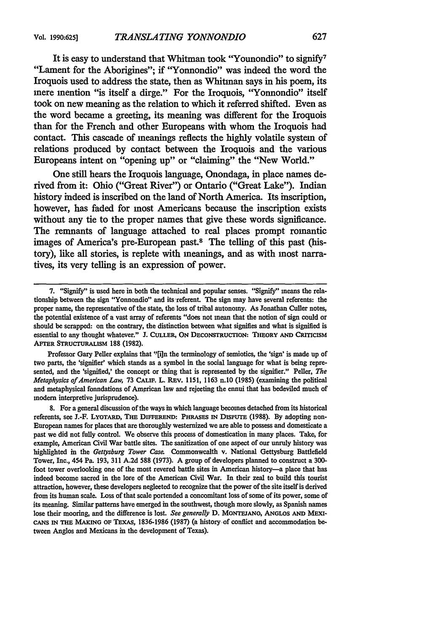It is easy to understand that Whitman took "Yonnondio" to signify7 "Lament for the Aborigines"; if "Yonnondio" was indeed the word the Iroquois used to address the state, then as Whitman says in his poem, its mere mention "is itself a dirge." For the Iroquois, "Yonnondio" itself took on new meaning as the relation to which it referred shifted. Even as the word became a greeting, its meaning was different for the Iroquois than for the French and other Europeans with whom the Iroquois had contact. This cascade of meanings reflects the **highly** volatile system of relations produced **by** contact between the Iroquois and the various Europeans intent on "opening up" or "claiming" the "New World."

One still hears the Iroquois language, Onondaga, in place names derived from it: Ohio ("Great River") or Ontario ("Great Lake"). Indian history indeed is inscribed on the land of North America. Its inscription, however, has faded for most Americans because the inscription exists without any tie to the proper names that give these words significance. The remnants of language attached to real places prompt romantic images of America's pre-European past.8 The telling of this past (history), like all stories, is replete with meanings, and as with most narratives, its very telling is an expression of power.

Professor Gary Peller explains that "[i]n the terminology of semiotics, the 'sign' is made up of two parts, the 'signifier' which stands as a symbol in the social language for what is being represented, and the 'signified,' the concept or thing that is represented **by** the signifier." Peller, *The Metaphysics of American Law,* **73 CALIF.** L. REv. **1151, 1163** n.10 **(1985)** (examining the political and metaphysical foundations of Amprican law and rejecting the ennui that has bedeviled much of moderm interpretive jurisprudence).

**8.** For a general discussion of the ways in which language becomes detached from its historical referents, see J.-F. LYOTARD, **THE DIFFEREND: PHRASES IN DISPUTE (1988).** By adopting non-European names **for** places that are thoroughly westernized we are able to possess and domesticate a past we did not **fully** control. We observe this process of domestication in many places. Take, for example, American Civil War battle sites. The sanitization of one aspect of our unruly history was highlighted in the *Gettysburg Tower Case.* Commonwealth v. National Gettysburg Battlefield Tower, Inc., 454 Pa. **193, 311 A.2d 588 (1973). A** group of developers planned to construct a **300** foot tower overlooking one of the most revered battle sites in American history-a place that has indeed become sacred in the lore of the American Civil War. In their zeal to build this tourist attraction, however, these developers neglected to recognize that the power of the site itself is derived from its human scale. Loss of that scale portended a concomitant loss of some of its power, some of its meaning. Similar patterns have emerged in the southwest, though more slowly, as Spanish names lose their mooring, and the difference is lost. *See generally* **D. MONTEYANO, ANGLOS AND MEXI-**CANS **IN THE MAKING OF** TEXAS, **1836-1986** (1987) (a history of conflict and accommodation between Anglos and Mexicans in the development of Texas).

**<sup>7.</sup>** "Signify" is used here in both the technical and popular senses. "Signify" means the relationship between the sign "Yonnondio" and its referent. The sign may have several referents: the proper name, the representative of the state, the loss of tribal autonomy. As Jonathan Culler notes, the potential existence of a vast array of referents "does not mean that the notion of sign could or should be scrapped: on the contrary, the distinction between what signifies and what is signified is essential to any thought whatever." **J. CULLER, ON DECONSTRUCTION: THEORY AND CRITICISM AFrER STRUCTURALISM 188 (1982).**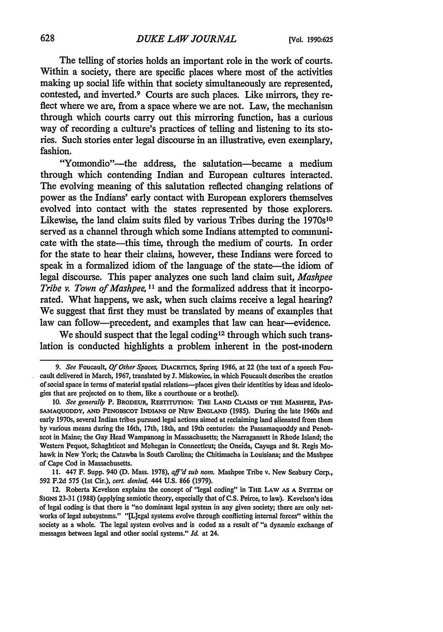The telling of stories holds an important role in the work of courts. Within a society, there are specific places where most of the activities making up social life within that society simultaneously are represented, contested, and inverted.<sup>9</sup> Courts are such places. Like mirrors, they reflect where we are, from a space where we are not. Law, the mechanism through which courts carry out this mirroring function, has a curious way of recording a culture's practices of telling and listening to its stories. Such stories enter legal discourse in an illustrative, even exemplary, fashion.

"Yonnondio"-the address, the salutation-became a medium through which contending Indian and European cultures interacted. The evolving meaning of this salutation reflected changing relations of power as the Indians' early contact with European explorers themselves evolved into contact with the states represented **by** those explorers. Likewise, the land claim suits filed by various Tribes during the 1970s<sup>10</sup> served as a channel through which some Indians attempted to communicate with the state—this time, through the medium of courts. In order for the state to hear their claims, however, these Indians were forced to speak in a formalized idiom of the language of the state—the idiom of legal discourse. This paper analyzes one such land claim suit, *Mashpee Tribe v. Town of Mashpee, <sup>11</sup>*and the formalized address that it incorporated. What happens, we ask, when such claims receive a legal hearing? We suggest that first they must be translated **by** means of examples that law can follow-precedent, and examples that law can hear-evidence.

We should suspect that the legal coding<sup>12</sup> through which such translation is conducted highlights a problem inherent in the post-modem

11. 447 F. Supp. 940 (D. Mass. 1978), *aff'd sub nom.* Mashpee Tribe v. New Seabury Corp., 592 F.2d 575 (Ist Cir.), *cert denied,* 444 **U.S. 866** (1979).

12. Roberta Kevelson explains the concept of "legal coding" in THE LAW **AS A** SYSTEM **OF** SIGNS 23-31 (1988) (applying semiotic theory, especially that of C.S. Peirce, to law). Kevelson's idea of legal coding is that there is "no dominant legal system in any given society; there are only networks of legal subsystems." "[L]egal systems evolve through conflicting internal forces" within the society as a whole. The legal system evolves and is coded as a result of "a dynamic exchange of messages between legal and other social systems." *Id.* at 24.

*<sup>9.</sup> See* Foucault, *Of Other Spaces,* DIACRITICS, Spring **1986,** at 22 (the text of a speech Foucault delivered in March, 1967, translated by **J.** Miskowiec, in which Foucault describes the creation of social space in terms of material spatial relations-places given their identities **by** ideas and ideologies that are projected on to them, like a courthouse or a brothel).

<sup>10.</sup> *See generally* P. BRODEUR, RESTITUTION: THE LAND CLAIMS **OF** THE **MASHPEE, PAS-SAMAQUODDY, AND** PENOBSCOT INDIANS OF NEW **ENGLAND** (1985). During the late **1960s** and early 1970s, several Indian tribes pursued legal actions aimed at reclaiming land alienated from them by various means during the 16th, 17th, 18th, and 19th centuries: the Passamaquoddy and Penobscot in Maine; the Gay Head Wampanoag in Massachusetts; the Narragansett in Rhode Island; the Western Pequot, Schaghticot and Mohegan in Connecticut; the Oneida, Cayuga and St. Regis Mohawk in New York; the Catawba in South Carolina; the Chitimacha in Louisiana; and the Mashpee of Cape Cod in Massachusetts.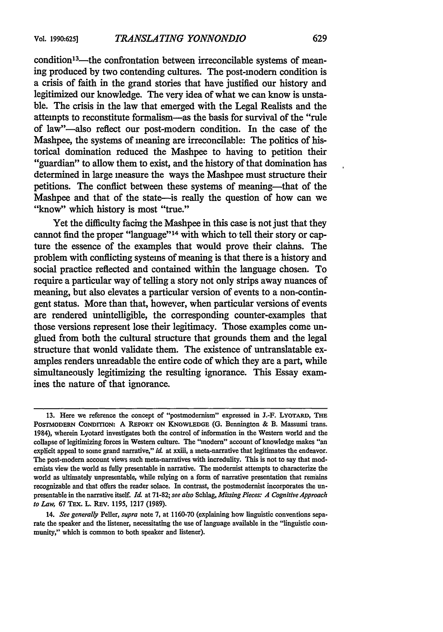629

condition<sup>13</sup>—the confrontation between irreconcilable systems of meanig produced by two contending cultures. The post-modem condition is a crisis of faith in the grand stories that have justified our history and legitimized our knowledge. The very idea of what we can know is unstable. The crisis in the law that emerged with the Legal Realists and the attempts to reconstitute formalism-as the basis for survival of the "rule of law"-also reflect our post-modern condition. In the case of the Mashpee, the systems of meaning are irreconcilable: The politics of historical domination reduced the Mashpee to having to petition their "guardian" to allow them to exist, and the history of that domination has determined in large measure the ways the Mashpee must structure their petitions. The conflict between these systems of meaning-that of the Mashpee and that of the state—is really the question of how can we "know" which history is most "true."

Yet the difficulty facing the Mashpee in this case is not just that they cannot find the proper "language"<sup>14</sup> with which to tell their story or capture the essence of the examples that would prove their claims. The problem with conflicting systems of meaning is that there is a history and social practice reflected and contained within the language chosen. To require a particular way of telling a story not only strips away nuances of meaning, but also elevates a particular version of events to a non-contingent status. More than that, however, when particular versions of events are rendered unintelligible, the corresponding counter-examples that those versions represent lose their legitimacy. Those examples come unglued from both the cultural structure that grounds them and the legal structure that wonld validate them. The existence of untranslatable examples renders unreadable the entire code of which they are a part, while simultaneously legitimizing the resulting ignorance. This Essay examines the nature of that ignorance.

**<sup>13.</sup>** Here we reference the concept of "postmodemism" expressed in J.-F. LYOTARD, THE POSTMODERN **CONDITION:** A REPORT **ON KNOWLEDGE (G.** Bennington & B. Massumi trans. 1984), wherein Lyotard investigates both the control of information in the Western world and the collapse of legitimizing forces in Western culture. The "modem" account of knowledge makes "an explicit appeal to some grand narrative,"  $id$  at xxiii, a meta-narrative that legitimates the endeavor. The post-modem account views such meta-narratives with incredulity. This is not to say that mod**ernists** view the world as fully presentable in narrative. The modernist attempts to characterize the world as ultimately unpresentable, while relying on a form of narrative presentation that remains recognizable and that offers the reader solace. In contrast, the postmodernist incorporates the unpresentable in the narrative itself. *Id.* at **71-82;** see also Schlag, *Missing Pieces: A Cognitive Approach to Law*, 67 TEX. L. REV. 1195, 1217 (1989).

<sup>14.</sup> *See generally* Peller, *supra* note **7,** at **1160-70** (explaining how linguistic conventions separate the speaker and the listener, necessitating the use of language available in the "linguistic community," which is common to both speaker and listener).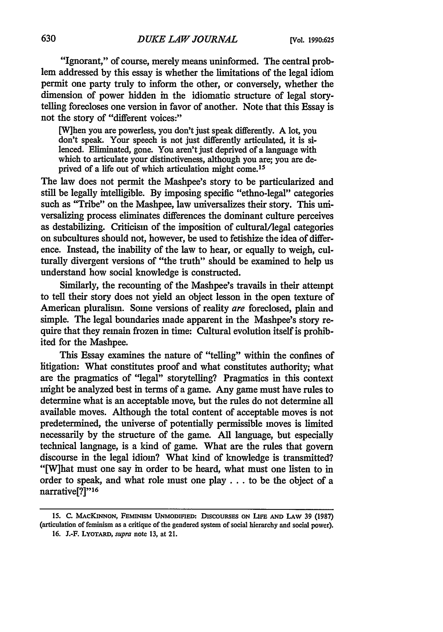"Ignorant," of course, merely means uninformed. The central problem addressed by this essay is whether the limitations of the legal idiom permit one party truly to inform the other, or conversely, whether the dimension of power hidden in the idiomatic structure of legal storytelling forecloses one version in favor of another. Note that this Essay is not the story of "different voices:"

[W]hen you are powerless, you don't just speak differently. A lot, you don't speak. Your speech is not just differently articulated, it is silenced. Eliminated, gone. You aren't just deprived of a language with which to articulate your distinctiveness, although you are; you are deprived of a life out of which articulation might come.<sup>15</sup>

The law does not permit the Mashpee's story to be particularized and still be legally intelligible. By imposing specific "ethno-legal" categories such as "Tribe" on the Mashpee, law universalizes their story. This universalizing process eliminates differences the dominant culture perceives as destabilizing. Criticism of the imposition of cultura!/legal categories on subcultures should not, however, be used to fetishize the idea of difference. Instead, the inability of the law to hear, or equally to weigh, culturally divergent versions of "the truth" should be examined to help us understand how social knowledge is constructed.

Similarly, the recounting of the Mashpee's travails in their attempt to tell their story does not yield an object lesson in the open texture of American pluralism. Some versions of reality are foreclosed, plain and simple. The legal boundaries made apparent in the Mashpee's story require that they remain frozen in time: Cultural evolution itself is prohibited for the Mashpee.

This Essay examines the nature of "telling" within the confines of litigation: What constitutes proof and what constitutes authority; what are the pragmatics of "legal" storytelling? Pragmatics in this context might be analyzed best in terms of a game. Any game must have rules to determine what is an acceptable move, but the rules do not determine all available moves. Although the total content of acceptable moves is not predetermined, the universe of potentially permissible moves is limited necessarily by the structure of the game. All language, but especially technical langnage, is a kind of game. What are the rules that govern discourse in the legal idiom? What kind of knowledge is transmitted? "[W]hat must one say in order to be heard, what must one listen to in order to speak, and what role must one play **...** to be the object of a narrative<sup>[?]"16</sup>

**<sup>15.</sup> C. MACKiNNON,** FEMINISM **UNMODIFIED:** DIscouRsEs **ON** LIFE **AND LAW 39 (1987) (articulation of feminism as a critique of the gendered system of social hierarchy and** social **power). 16. J.-F. LYOTARD,** *supra* **note 13, at 21.**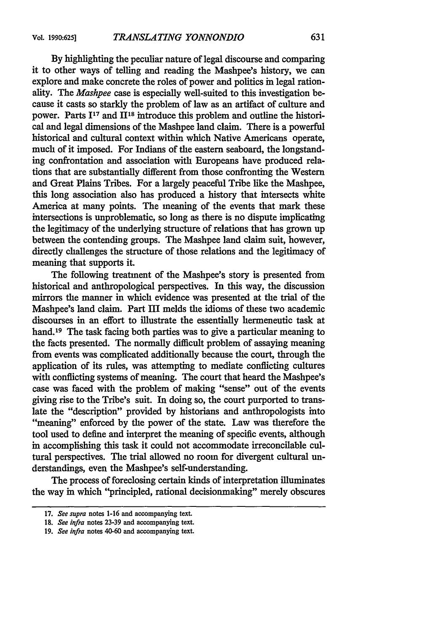By highlighting the peculiar nature of legal discourse and comparing it to other ways of telling and reading the Mashpee's history, we can explore and make concrete the roles of power and politics in legal rationality. The *Mashpee* case is especially well-suited to this investigation because it casts so starkly the problem of law as an artifact of culture and power. Parts **117** and 1118 introduce this problem and outline the historical and legal dimensions of the Mashpee land claim. There is a powerful historical and cultural context within which Native Americans operate, much of it imposed. For Indians of the eastern seaboard, the longstanding confrontation and association with Europeans have produced relations that are substantially different from those confronting the Western and Great Plains Tribes. For a largely peaceful Tribe like the Mashpee, this long association also has produced a history that intersects white America at many points. The meaning of the events that mark these intersections is unproblematic, so long as there is no dispute implicating the legitimacy of the underlying structure of relations that has grown up between the contending groups. The Mashpee land claim suit, however, directly challenges the structure of those relations and the legitimacy of meaning that supports it.

The following treatment of the Mashpee's story is presented from historical and anthropological perspectives. In this way, the discussion mirrors the manner in which evidence was presented at the trial of the Mashpee's land claim. Part III melds the idioms of these two academic discourses in an effort to illustrate the essentially hermeneutic task at hand.<sup>19</sup> The task facing both parties was to give a particular meaning to the facts presented. The normally difficult problem of assaying meaning from events was complicated additionally because the court, through the application of its rules, was attempting to mediate conflicting cultures with conflicting systems of meaning. The court that heard the Mashpee's case was faced with the problem of making "sense" out of the events giving rise to the Tribe's suit. In doing so, the court purported to translate the "description" provided by historians and anthropologists into "meaning" enforced by the power of the state. Law was therefore the tool used to define and interpret the meaning of specific events, although in accomplishing this task it could not accommodate irreconcilable cultural perspectives. The trial allowed no room for divergent cultural understandings, even the Mashpee's self-understanding.

The process of foreclosing certain kinds of interpretation illuminates the way in which "principled, rational decisionmaking" merely obscures

<sup>17.</sup> *See supra* notes 1-16 and accompanying text.

<sup>18.</sup> *See infra* notes 23-39 and accompanying text.

<sup>19.</sup> *See infra* notes 40-60 and accompanying text.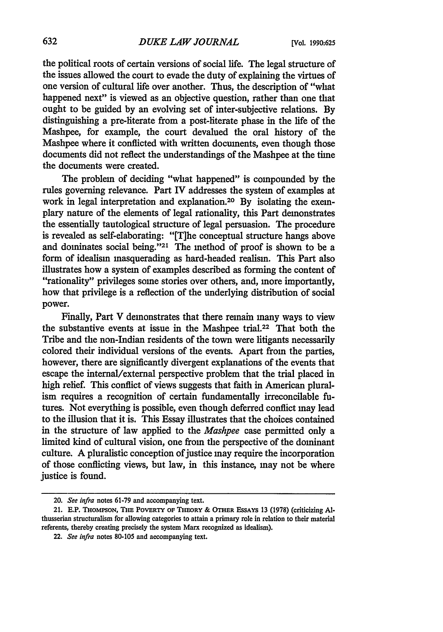the political roots of certain versions of social life. The legal structure of the issues allowed the court to evade the duty of explaining the virtues of one version of cultural life over another. Thus, the description of "what happened next" is viewed as an objective question, rather than one that ought to be guided by an evolving set of inter-subjective relations. **By** distinguishing a pre-literate from a post-literate phase in the life of the Mashpee, for example, the court devalued the oral history of the Mashpee where it conflicted with written documents, even though those documents did not reflect the understandings of the Mashpee at the time the documents were created.

The problem of deciding "what happened" is compounded by the rules governing relevance. Part IV addresses the system of examples at work in legal interpretation and explanation.20 **By** isolating the exemplary nature of the elements of legal rationality, this Part demonstrates the essentially tautological structure of legal persuasion. The procedure is revealed as self-elaborating: "[T]he conceptual structure hangs above and dominates social being."<sup>21</sup> The method of proof is shown to be a form of idealism masquerading as hard-headed realism. This Part also illustrates how a system of examples described as forming the content of "rationality" privileges some stories over others, and, more importantly, how that privilege is a reflection of the underlying distribution of social power.

Finally, Part V demonstrates that there remain many ways to view the substantive events at issue in the Mashpee trial.22 That both the Tribe and the non-Indian residents of the town were litigants necessarily colored their individual versions of the events. Apart from the parties, however, there are significantly divergent explanations of the events that escape the internal/external perspective problem that the trial placed in high relief. This conflict of views suggests that faith in American pluralism requires a recognition of certain fundamentally irreconcilable futures. Not everything is possible, even though deferred conflict may lead to the illusion that it is. This Essay illustrates that the choices contained in the structure of law applied to the *Mashpee* case permitted only a limited kind of cultural vision, one from the perspective of the dominant culture. A pluralistic conception of justice may require the incorporation of those conflicting views, but law, in this instance, may not be where justice is found.

<sup>20.</sup> *See infra* notes 61-79 and accompanying text.

<sup>21.</sup> E.P. THOMPSON, THE POVERTY **OF** THEORY & **OTHER ESSAYS** 13 **(1978)** (criticizing **Al**thusserian structuralism for allowing categories to attain a primary role in relation to their material referents, thereby creating precisely the system Marx recognized as idealism).

<sup>22.</sup> *See infra* notes 80-105 and accompanying text.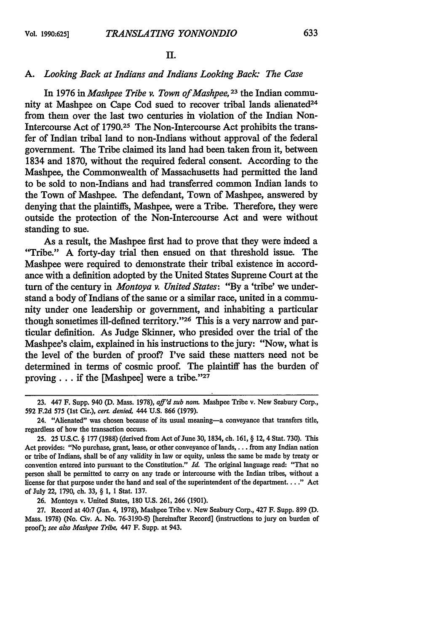#### *A. Looking Back at Indians and Indians Looking Back: The Case*

In 1976 in *Mashpee Tribe v. Town of Mashpee*,<sup>23</sup> the Indian community at Mashpee on Cape Cod sued to recover tribal lands alienated<sup>24</sup> from them over the last two centuries in violation of the Indian Non-Intercourse Act of 1790.25 The Non-Intercourse Act prohibits the transfer of Indian tribal land to non-Indians without approval of the federal government. The Tribe claimed its land had been taken from it, between 1834 and 1870, without the required federal consent. According to the Mashpee, the Commonwealth of Massachusetts had permitted the land to be sold to non-Indians and had transferred common Indian lands to the Town of Mashpee. The defendant, Town of Mashpee, answered by denying that the plaintiffs, Mashpee, were a Tribe. Therefore, they were outside the protection of the Non-Intercourse Act and were without standing to sue.

As a result, the Mashpee first had to prove that they were indeed a "Tribe." A forty-day trial then ensued on that threshold issue. The Mashpee were required to demonstrate their tribal existence in accordance with a definition adopted by the United States Supreme Court at the turn of the century in *Montoya v. United States:* "By a 'tribe' we understand a body of Indians of the same or a similar race, united in a community under one leadership or government, and inhabiting a particular though sometimes ill-defined territory."<sup>26</sup> This is a very narrow and particular definition. As Judge Skinner, who presided over the trial of the Mashpee's claim, explained in his instructions to the jury: "Now, what is the level of the burden of proof? I've said these matters need not be determined in terms of cosmic proof. The plaintiff has the burden of proving... if the [Mashpee] were a tribe." $27$ 

26. Montoya v. United States, 180 **U.S.** 261, 266 (1901).

**27.** Record at 40:7 (Jan. 4, 1978), Mashpee Tribe v. New Seabury Corp., 427 F. Supp. 899 (D. Mass. 1978) (No. Civ. A. No. 76-3190-S) [hereinafter Record] (instructions to jury on burden of proof); *see also Mashpee Tribe,* 447 F. Supp. at 943.

<sup>23. 447</sup> F. Supp. 940 **(D.** Mass. 1978), *aff'd sub nom.* Mashpee Tribe v. New Seabury Corp., 592 F.2d 575 (1st Cir.), *cert denied,* 444 U.S. 866 (1979).

<sup>24. &</sup>quot;Alienated" was chosen because of its usual meaning-a conveyance that transfers title, regardless of how the transaction occurs.

<sup>25.</sup> **25 U.S.C.** § 177 (1988) (derived from Act of June 30, 1834, ch. 161, § 12, 4 Stat. 730). This Act provides: "No purchase, grant, lease, or other conveyance of lands.... from any Indian nation or tribe of Indians, shall be of any validity in law or equity, unless the same be made by treaty or convention entered into pursuant to the Constitution." *Id.* The original language read: "That no person shall be permitted to carry on any trade or intercourse with the Indian tribes, without a license for that purpose under the hand and seal of the superintendent of the department **.. "** Act of July 22, 1790, ch. 33, § 1, 1 Stat. 137.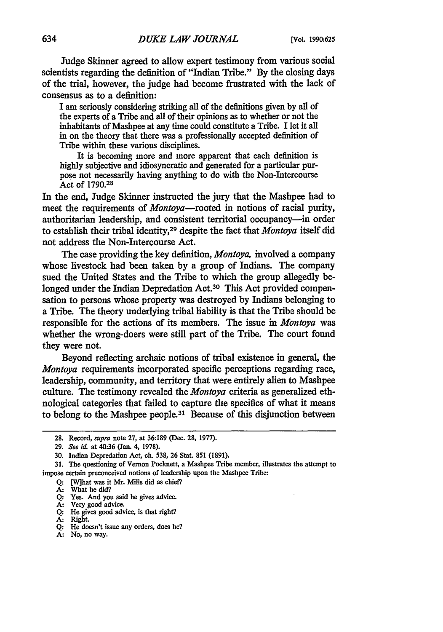Judge Skinner agreed to allow expert testimony from various social scientists regarding the definition of "Indian Tribe." By the closing days of the trial, however, the judge had become frustrated with the lack of consensus as to a definition:

I am seriously considering striking all of the definitions given by all of the experts of a Tribe and all of their opinions as to whether or not the inhabitants of Mashpee at any time could constitute a Tribe. I let it all in on the theory that there was a professionally accepted definition of Tribe within these various disciplines.

It is becoming more and more apparent that each definition is highly subjective and idiosyncratic and generated for a particular purpose not necessarily having anything to do with the Non-Intercourse Act of **1790.28**

In the end, Judge Skinner instructed the jury that the Mashpee had to meet the requirements of *Montoya-rooted* in notions of racial purity, authoritarian leadership, and consistent territorial occupancy-in order to establish their tribal identity,29 despite the fact that *Montoya* itself did not address the Non-Intercourse Act.

The case providing the key definition, *Montoya,* involved a company whose livestock had been taken by a group of Indians. The company sued the United States and the Tribe to which the group allegedly belonged under the Indian Depredation Act.<sup>30</sup> This Act provided compensation to persons whose property was destroyed by Indians belonging to a Tribe. The theory underlying tribal liability is that the Tribe should be responsible for the actions of its members. The issue in *Montoya* was whether the wrong-doers were still part of the Tribe. The court found they were not.

Beyond reflecting archaic notions of tribal existence in general, the *Montoya* requirements incorporated specific perceptions regarding race, leadership, community, and territory that were entirely allen to Mashpee culture. The testimony revealed the *Montoya* criteria as generalized ethnological categories that failed to capture the specifics of what it means to belong to the Mashpee people.<sup>31</sup> Because of this disjunction between

A: What he did?

A: Very good advice.

- Q: He doesn't issue any orders, does he?
- A: No, no way.

<sup>28.</sup> Record, *supra* note 27, at 36:189 (Dec. 28, 1977).

<sup>29.</sup> *See id* at 40:36 (Jan. 4, 1978).

<sup>30.</sup> Indian Depredation Act, ch. 538, 26 Stat. 851 (1891).

<sup>31.</sup> The questioning of Vernon Pocknett, a Mashpee Tribe member, illustrates the attempt to impose certain preconceived notions of leadership upon the Mashpee Tribe:

Q: [What was it Mr. Mills did as chief?

Q: Yes. And you said he gives advice.

Q: He gives good advice, is that right?

**A:** Right.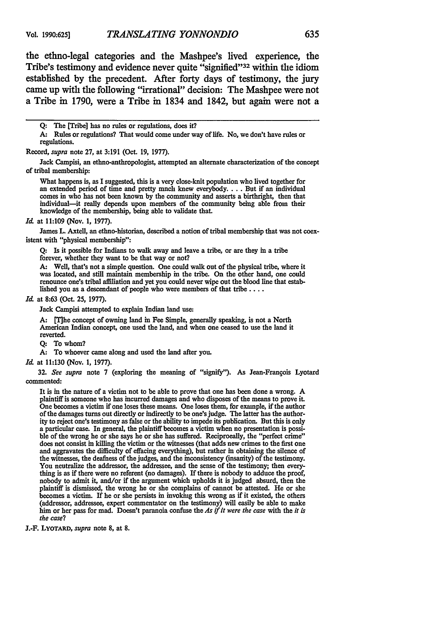the ethno-legal categories and the Mashpee's lived experience, the Tribe's testimony and evidence never quite **"signified"32** within the idiom established by the precedent. After forty days of testimony, the jury came up with the following "irrational" decision: The Mashpee were not a Tribe in 1790, were a Tribe in 1834 and 1842, but again were not a

**A:** Rules or regulations? That would come under way of life. No, we don't have rules or regulations.

Record, *supra* note **27,** at **3:191** (Oct. **19, 1977).**

Jack Campisi, an ethno-anthropologist, attempted an alternate characterization of the concept of tribal membership:

What happens is, as I suggested, this is a very close-knit population who lived together for an extended period of time and pretty much knew everybody.... But if an individual comes in who has not been known **by** the community and asserts a birthright, then that individual-it really depends upon members of the community being able from their knowledge of the membership, being able to validate that.

Id. at **11:109** (Nov. **1, 1977).**

James **L.** Axtell, an ethno-historian, described a notion of tribal membership that was not coexistent with "physical membership":

**Q:** Is it possible for Indians to walk away and leave a tribe, or are they in a tribe forever, whether they want to be that way or not?

**A:** Well, that's not a simple question. One could walk out of the physical tribe, where it was located, and still maintain membership in the tribe. On the other hand, one could renounce one's tribal affiliation and yet you could never wipe out the blood line that established you as a descendant of people who were members of that **tribe** ....

*Id.* at **8:63** (Oct. **25, 1977).**

Jack Campisi attempted to explain Indian land use:

**A:** [Tihe concept of owning land in Fee Simple, generally speaking, is not a North American Indian concept, one used the land, and when one ceased to use the land it reverted.

**Q:** To whom?

**A:** To whoever came along and used the land after you.

*Id* at **11:130** (Nov. **1, 1977).**

**32.** *See supra* note **7** (exploring the meaning of "signify"). As Jean-Frangois Lyotard commented:

It is in the nature of a victim not to be able to prove that one has been done a wrong. **A** plaintiff is someone who has incurred damages and who disposes of the means to prove it. One becomes a victim if one loses these means. One loses them, for example, if the author of the damages turns out directly or indirectly to be one's judge. The latter has the authority to reject one's testimony as false or the ability to impede its publication. But this is only a particular case. In general, the plaintiff becomes a victim when no presentation is possible of the wrong he or she says he or she has suffered. Reciprocally, the "perfect crime" does not consist in killing the victim or the witnesses (that adds new crimes to the first one and aggravates the difficulty of effacing everything), but rather in obtaining the silence of the witnesses, the deafness of the judges, and the inconsistency (insanity) of the testimony. You neutralize the addressor, the addressee, and the sense of the testimony; then everything is as if there were no referent (no damages). If there is nobody to adduce the proof, nobody to admit **it,** and/or if the argument which upholds it is judged absurd, then the plaintiff is dismissed, the wrong he or she complains of cannot be attested. He or she becomes a victim. If he or she persists in invoking this wrong as if it existed, the others (addressor, addressee, expert commentator on the testimony) will easily be able to make him or her pass for mad. Doesn't paranoia confuse the *As* **if** *it were the case* with the *it is* the case?

**J.-F. LYOTARD,** *supra* note **8,** at **8.**

**Q:** The [Tribe] has no **rules** or regulations, does it?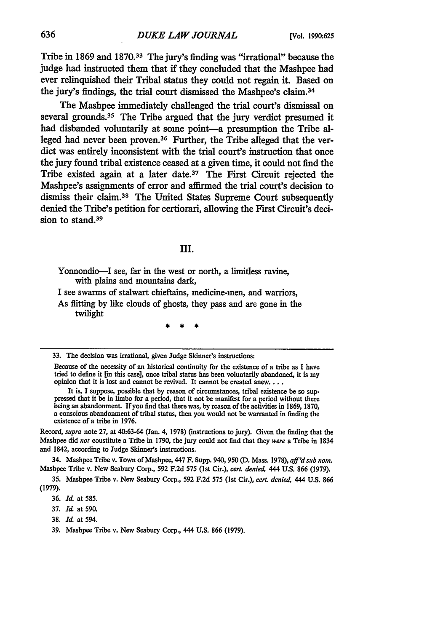Tribe in **1869** and **1870. <sup>33</sup>**The jury's finding was "irrational" because the judge had instructed them that **if** they concluded that the Mashpee had ever relinquished their Tribal status they could not regain it. Based on the jury's findings, the trial court dismissed the Mashpee's claim.34

The Mashpee immediately challenged the trial court's dismissal on several grounds.<sup>35</sup> The Tribe argued that the jury verdict presumed it had disbanded voluntarily at some point-a presumption the Tribe alleged had never been proven.<sup>36</sup> Further, the Tribe alleged that the verdict was entirely inconsistent with the trial court's instruction that once the jury found tribal existence ceased at a given time, it could not find the Tribe existed again at a later date.<sup>37</sup> The First Circuit rejected the Mashpee's assignments of error and affirmed the trial court's decision to dismiss their claim.<sup>38</sup> The United States Supreme Court subsequently denied the Tribe's petition for certiorari, allowing the First Circuit's decision to stand.<sup>39</sup>

## III.

Yonnondio-I see, far in the west or north, a limitless ravine, with plains and mountains dark,

I see swarms of stalwart chieftains, medicine-men, and warriors,

As flitting by like clouds of ghosts, they pass and are gone in the twilight

33. The decision was irrational, given Judge Skinner's instructions:

Because of the necessity of an historical continuity for the existence of a tribe as I have tried to define it [in this case], once tribal status has been voluntarily abandoned, it is my opinion that it is lost and cannot be revived. It cannot be created anew....

It is, I suppose, possible that by reason of circumstances, tribal existence be so suppressed that it be in limbo for a period, that it not be manifest for a period without there being an abandonment. **If** you find that there was, by reason of the activities in 1869, 1870, a conscious abandonment of tribal status, then you would not be warranted in finding the existence of a tribe in 1976.

Record, *supra* note 27, at 40:63-64 (Jan. 4, 1978) (instructions to jury). Given the finding that the Mashpee did *not* constitute a Tribe in 1790, the jury could not find that they *were* a Tribe in 1834 and 1842, according to Judge Skinner's instructions.

34. Mashpee Tribe v. Town of Mashpee, 447 F. Supp. 940, 950 **(D.** Mass. 1978), *aff'd sub nom.* Mashpee Tribe v. New Seabury Corp., 592 F.2d 575 (Ist Cir.), *cert. denied,* 444 U.S. 866 (1979).

35. Mashpee Tribe v. New Seabury Corp., 592 F.2d 575 (lst Cir.), *cert. denied,* 444 U.S. **866** (1979).

<sup>36.</sup> *Id.* at 585.

<sup>37.</sup> *Id.* at 590.

<sup>38.</sup> *Id.* at 594.

<sup>39.</sup> Mashpee Tribe v. New Seabury Corp., 444 U.S. 866 (1979).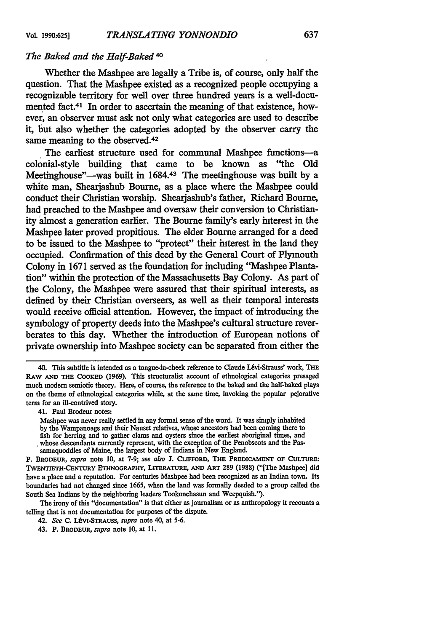#### The Baked and the Half-Baked<sup>40</sup>

Whether the Mashpee are legally a Tribe is, of course, only half the question. That the Mashpee existed as a recognized people occupying a recognizable territory for well over three hundred years is a well-documented fact.41 In order to ascertain the meaning of that existence, however, an observer must ask not only what categories are used to describe it, but also whether the categories adopted **by** the observer carry the same meaning to the observed.<sup>42</sup>

The earliest structure used for communal Mashpee functions-a colonial-style building that came to be known as "the Old Meetinghouse"—was built in  $1684<sup>43</sup>$  The meetinghouse was built by a white man, Shearjashub Bourne, as a place where the Mashpee could conduct their Christian worship. Shearjashub's father, Richard Bourne, had preached to the Mashpee and oversaw their conversion to Christianity almost a generation earlier. The Bourne family's early interest in the Mashpee later proved propitious. The elder Bourne arranged for a deed to be issued to the Mashpee to "protect" their interest in the land they occupied. Confirmation of this deed by the General Court of Plymouth Colony in **1671** served as the foundation for including "Mashpee Plantation" within the protection of the Massachusetts Bay Colony. As part of the Colony, the Mashpee were assured that their spiritual interests, as defined by their Christian overseers, as well as their temporal interests would receive official attention. However, the impact of introducing the symbology of property deeds into the Mashpee's cultural structure reverberates to this day. Whether the introduction of European notions of private ownership into Mashpee society can be separated from either the

41. Paul Brodeur notes:

The irony of this "documentation" is that either as journalism or as anthropology it recounts a telling that is not documentation for purposes of the dispute.

42. *See* C. LfvI-STRAuss, *supra* note 40, at 5-6.

<sup>40.</sup> This subtitle is intended as a tongue-in-cheek reference to Claude Lévi-Strauss' work, THE **RAW AND THE COOKED (1969).** This structuralist account of ethnological categories presaged much modem semiotic theory. Here, of course, the reference to the baked and the half-baked plays on the theme of ethnological categories while, at the same time, invoking the popular pejorative term for an ill-contrived story.

Mashpee was never really settled in any formal sense of the word. It was simply inhabited **by** the Wampanoags and their Nauset relatives, whose ancestors had been coming there to fish for herring and to gather clams and oysters since the earliest aboriginal times, and whose descendants currently represent, with the exception of the Penobscots and the Passamaquoddies of Maine, the largest body of Indians in New England.

P. **BRODEUR,** *supra* note **10,** at **7-9;** *see also* **J. CLIFFORD, THE PREDICAMENT OF CULTURE: TWENTIETH-CENTURY ETHNOGRAPHY, LITERATURE, AND** ART **289** (1988) ("[The Mashpee] did have a place and a reputation. For centuries Mashpee had been recognized as an Indian town. Its boundaries had not changed since **1665,** when the land was formally deeded to a group called the South Sea Indians **by** the neighboring leaders Tookonchasun and Weepquish.").

<sup>43.</sup> P. BRODEUR, *supra* note 10, at 11.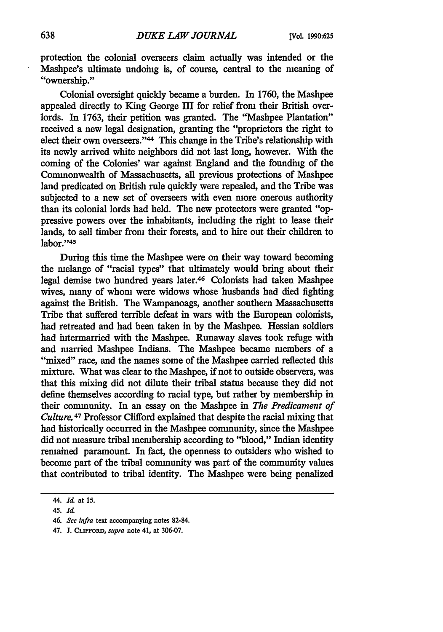protection the colonial overseers claim actually was intended or the Mashpee's ultimate undoing is, of course, central to the meaning of "ownership."

Colonial oversight quickly became a burden. In 1760, the Mashpee appealed directly to King George III for relief from their British overlords. In 1763, their petition was granted. The "Mashpee Plantation" received a new legal designation, granting the "proprietors the right to elect their own overseers."<sup>44</sup> This change in the Tribe's relationship with its newly arrived white neighbors did not last long, however. With the coming of the Colonies' war against England and the founding of the Commonwealth of Massachusetts, all previous protections of Mashpee land predicated on British rule quickly were repealed, and the Tribe was subjected to a new set of overseers with even more onerous authority than its colonial lords had held. The new protectors were granted "oppressive powers over the inhabitants, including the right to lease their lands, to sell timber from their forests, and to hire out their children to labor."45

During this time the Mashpee were on their way toward becoming the melange of "racial types" that ultimately would bring about their legal demise two hundred years later.46 Colonists had taken Mashpee wives, many of whom were widows whose husbands had died fighting against the British. The Wampanoags, another southern Massachusetts Tribe that suffered terrible defeat in wars with the European colonists, had retreated and had been taken in by the Mashpee. Hessian soldiers had intermarried with the Mashpee. Runaway slaves took refuge with and married Mashpee Indians. The Mashpee became members of a "mixed" race, and the names some of the Mashpee carried reflected this mixture. What was clear to the Mashpee, if not to outside observers, was that this mixing did not dilute their tribal status because they did not define themselves according to racial type, but rather by membership in their community. In an essay on the Mashpee in *The Predicament of Culture,* 47 Professor Clifford explained that despite the racial mixing that had historically occurred in the Mashpee community, since the Mashpee did not measure tribal membership according to "blood," Indian identity remained paramount. In fact, the openness to outsiders who wished to become part of the tribal community was part of the community values that contributed to tribal identity. The Mashpee were being penalized

<sup>44.</sup> *Id.* at 15.

*<sup>45.</sup> Id.*

<sup>46.</sup> *See infra* text accompanying notes 82-84.

<sup>47.</sup> **J. CLIFFORD,** *supra* note 41, at 306-07.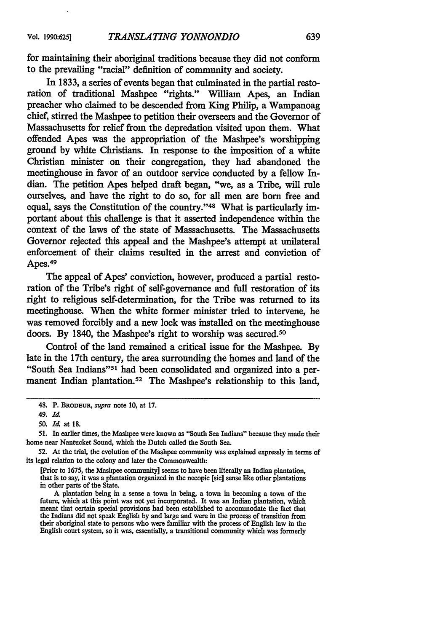for maintaining their aboriginal traditions because they did not conform to the prevailing "racial" definition of community and society.

In 1833, a series of events began that culminated in the partial restoration of traditional Mashpee "rights." William Apes, an Indian preacher who claimed to be descended from King Philip, a Wampanoag chief, stirred the Mashpee to petition their overseers and the Governor of Massachusetts for relief from the depredation visited upon them. What offended Apes was the appropriation of the Mashpee's worshipping ground by white Christians. In response to the imposition of a white Christian minister on their congregation, they had abandoned the meetinghouse in favor of an outdoor service conducted by a fellow Indian. The petition Apes helped draft began, "we, as a Tribe, will rule ourselves, and have the right to do so, for all men are born free and equal, says the Constitution of the country."<sup>48</sup> What is particularly important about this challenge is that it asserted independence within the context of the laws of the state of Massachusetts. The Massachusetts Governor rejected this appeal and the Mashpee's attempt at unilateral enforcement of their claims resulted in the arrest and conviction of Apes.<sup>49</sup>

The appeal of Apes' conviction, however, produced a partial restoration of the Tribe's right of self-governance and full restoration of its right to religious self-determination, for the Tribe was returned to its meetinghouse. When the white former minister tried to intervene, he was removed forcibly and a new lock was installed on the meetinghouse doors. By 1840, the Mashpee's right to worship was secured.<sup>50</sup>

Control of the land remained a critical issue for the Mashpee. By late in the 17th century, the area surrounding the homes and land of the "South Sea Indians"<sup>51</sup> had been consolidated and organized into a permanent Indian plantation.<sup>52</sup> The Mashpee's relationship to this land,

<sup>48.</sup> P. **BRODEUR,** *supra* note 10, at 17.

<sup>49.</sup> *Id.*

*<sup>50.</sup> Id.* at **18.**

<sup>51.</sup> In earlier times, the Mashpee were known as "South Sea Indians" because they made their home near Nantucket Sound, which the Dutch called the South Sea.

**<sup>52.</sup>** At the trial, the evolution of the Mashpee community was explained expressly in terms of its legal relation to the colony and later the Commonwealth:

<sup>[</sup>Prior to 1675, the Mashpee community] seems to have been literally an Indian plantation, that is to say, it was a plantation organized in the necopic [sic] sense like other plantations in other parts of the State.

A plantation being in a sense a town in being, a town in becoming a town of the future, which at this point was not yet incorporated. It was an Indian plantation, which meant that certain special provisions had been established to accommodate the fact that the Indians did not speak English by and large and were in the process of transition from their aboriginal state to persons who were familiar with the process of English law in the English court system, so it was, essentially, a transitional community which was formerly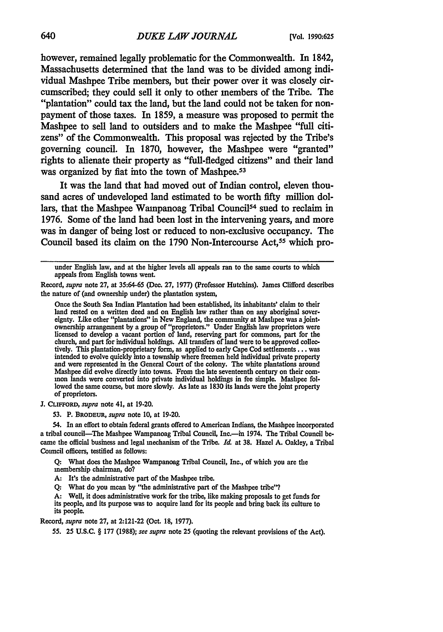however, remained legally problematic for the Commonwealth. In 1842, Massachusetts determined that the land was to be divided among individual Mashpee Tribe members, but their power over it was closely circumscribed; they could sell it only to other members of the Tribe. The "plantation" could tax the land, but the land could not be taken for nonpayment of those taxes. In **1859,** a measure was proposed to permit the Mashpee to sell land to outsiders and to make the Mashpee "full citizens" of the Commonwealth. This proposal was rejected **by** the Tribe's governing council. In **1870,** however, the Mashpee were "granted" rights to alienate their property as "full-fledged citizens" and their land was organized by fiat into the town of Mashpee.<sup>53</sup>

It was the land that had moved out of Indian control, eleven thousand acres of undeveloped land estimated to be worth **fifty** million dollars, that the Mashpee Wampanoag Tribal Council<sup>54</sup> sued to reclaim in **1976.** Some of the land had been lost in the intervening years, and more was in danger of being lost or reduced to non-exclusive occupancy. The Council based its claim on the 1790 Non-Intercourse Act,<sup>55</sup> which pro-

Once the South Sea Indian Plantation had been established, its inhabitants' claim to their land rested on a written deed and on English law rather than on any aboriginal sover- eignty. Like other "plantations" in New England, the community at Mashpee was a jointownership arrangement **by** a group of "proprietors." Under English law proprietors were licensed to develop a vacant portion of land, reserving part for commons, part for the church, and part for individual holdings. **All** transfers of land were to be approved collectively. This plantation-proprietary form, as applied to early Cape Cod settlements.., was intended to evolve quickly into a township where freemen held individual private property and were represented in the General Court of the colony. The white plantations around Mashpee did evolve directly into towns. From the late seventeenth century on their com- mon lands were converted into private individual holdings in fee simple. Mashpee followed the same course, but more slowly. As late as 1830 its lands were the joint property of proprietors.

**J.** *CLiFFoRD, supra* note 41, at **19-20.**

**53.** P. BRODEUR, *supra* note **10,** at **19-20.**

54. In an effort to obtain federal grants offered to American Indians, the Mashpee incorporated a tribal council-The Mashpee Wampanoag Tribal Council, Inc.-in 1974. The Tribal Council **be**came the official business and legal mechanism of the Tribe. *Id.* at **38.** Hazel **A.** Oakley, a Tribal Council officers, testified **as** follows:

**Q:** What does the Mashpee Wampanoag Tribal Council, Inc., of which you are the membership chairman, do?

- **A:** It's the administrative part of the Mashpee tribe.
- **Q:** What do you mean **by** "the administrative part of the Mashpee tribe"?

**A:** Well, it does administrative work for the tribe, like making proposals to get funds for its people, and its purpose was to acquire land for its people and bring back its culture to its people.

Record, *supra* note **27,** at 2:121-22 (Oct. **18, 1977).**

**55. 25 U.S.C.** § **177 (1988);** *see supra* note **25** (quoting the relevant provisions of the Act).

under English law, and at the higher levels all appeals ran to the same courts to which appeals from English towns went.

Record, *supra* note **27,** at 35:64-65 (Dec. **27, 1977)** (Professor Hutchins). James Clifford describes the nature of (and ownership under) the plantation system,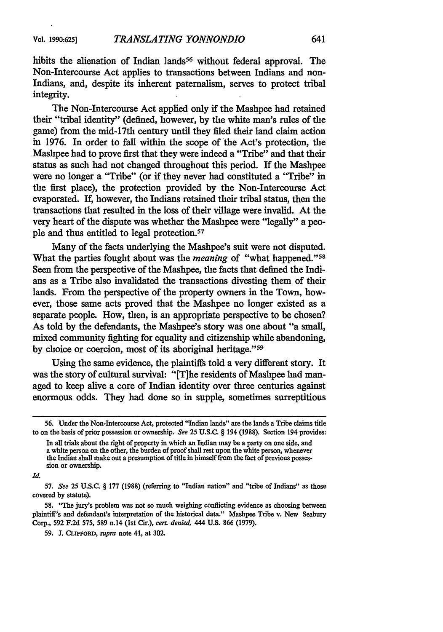hibits the alienation of Indian lands<sup>56</sup> without federal approval. The Non-Intercourse Act applies to transactions between Indians and non-Indians, and, despite its inherent paternalism, serves to protect tribal integrity.

The Non-Intercourse Act applied only if the Mashpee had retained their "tribal identity" (defined, however, by the white man's rules of the game) from the mid-17th century until they filed their land claim action in 1976. In order to fall within the scope of the Act's protection, the Mashpee had to prove first that they were indeed a "Tribe" and that their status as such had not changed throughout this period. If the Mashpee were no longer a "Tribe" (or if they never had constituted a "Tribe" in the first place), the protection provided by the Non-Intercourse Act evaporated. If, however, the Indians retained their tribal status, then the transactions that resulted in the loss of their village were invalid. At the very heart of the dispute was whether the Mashpee were "legally" a people and thus entitled to legal protection.<sup>57</sup>

Many of the facts underlying the Mashpee's suit were not disputed. What the parties fought about was the *meaning* of "what happened."<sup>58</sup> Seen from the perspective of the Mashpee, the facts that defined the Indians as a Tribe also invalidated the transactions divesting them of their lands. From the perspective of the property owners in the Town, however, those same acts proved that the Mashpee no longer existed as a separate people. How, then, is an appropriate perspective to be chosen? As told by the defendants, the Mashpee's story was one about "a small, mixed community fighting for equality and citizenship while abandoning, by choice or coercion, most of its aboriginal heritage."<sup>59</sup>

Using the same evidence, the plaintiffs told a very different story. It was the story of cultural survival: "[T]he residents of Mashpee had managed to keep alive a core of Indian identity over three centuries against enormous odds. They had done so in supple, sometimes surreptitious

*Id.*

**<sup>56.</sup>** Under the Non-Intercourse Act, protected "Indian lands" are the lands a Tribe claims title to on the basis of prior possession or ownership. *See* **25 U.S.C.** § 194 **(1988).** Section 194 provides:

In all trials about the right of property in which an Indian may be a party on one side, and a white person on the other, the burden of proof shall rest upon the white person, whenever the Indian shall make out a presumption of title in himself from the fact of previous possession or ownership.

<sup>57.</sup> *See* 25 U.S.C. § 177 **(1988)** (referring to "Indian nation" and "tribe of Indians" as those covered by statute).

**<sup>58.</sup>** "The jury's problem was not so much weighing conflicting evidence as choosing between plaintiff's and defendant's interpretation of the historical data." Mashpee Tribe v. New Seabury Corp., 592 F.2d 575, **589** n.14 (1st Cir.), *cert. denied,* 444 U.S. **866** (1979).

**<sup>59.</sup> J.** CLIFFoRD, *supra* note 41, at 302.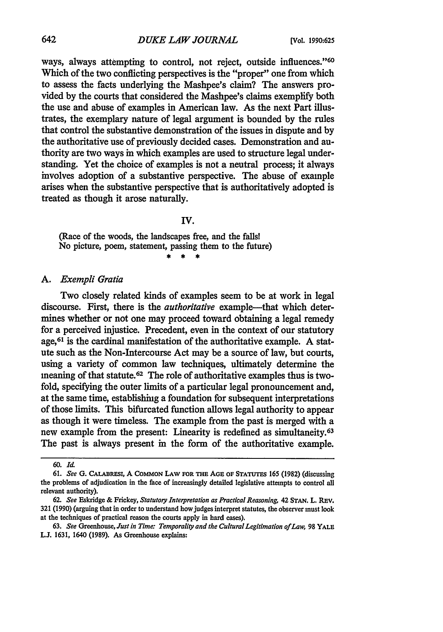#### *DUKE LAW JOURNAL*

ways, always attempting to control, not reject, outside influences."<sup>60</sup> Which of the two conflicting perspectives is the "proper" one from which to assess the facts underlying the Mashpee's claim? The answers provided by the courts that considered the Mashpee's claims exemplify both the use and abuse of examples in American law. As the next Part illustrates, the exemplary nature of legal argument is bounded by the rules that control the substantive demonstration of the issues in dispute and by the authoritative use of previously decided cases. Demonstration and authority are two ways in which examples are used to structure legal understanding. Yet the choice of examples is not a neutral process; it always involves adoption of a substantive perspective. The abuse of example arises when the substantive perspective that is authoritatively adopted is treated as though it arose naturally.

#### IV.

(Race of the woods, the landscapes free, and the fallsl No picture, poem, statement, passing them to the future)

#### *A. Exempli Gratia*

Two closely related kinds of examples seem to be at work in legal discourse. First, there is the *authoritative* example-that which determines whether or not one may proceed toward obtaining a legal remedy for a perceived injustice. Precedent, even in the context of our statutory age,<sup>61</sup> is the cardinal manifestation of the authoritative example. A statute such as the Non-Intercourse Act may be a source of law, but courts, using a variety of common law techniques, ultimately determine the meaning of that statute. 62 The role of authoritative examples thus is twofold, specifying the outer limits of a particular legal pronouncement and, at the same time, establishing a foundation for subsequent interpretations of those limits. This bifurcated function allows legal authority to appear as though it were timeless. The example from the past is merged with a new example from the present: Linearity is redefined as simultaneity.<sup>63</sup> The past is always present in the form of the authoritative example.

**<sup>60.</sup>** *Id*

**<sup>61.</sup>** *See* **G. CALABRESI,** A **COMMON LAW FOR THE AGE OF STATUTES** 165 **(1982)** (discussing the problems of adjudication in the face of increasingly detailed legislative attempts to control all relevant authority).

**<sup>62.</sup>** *See* Eskridge & Frickey, *Statutory Interpretation as Practical Reasoning* 42 **STAN.** L. REv. **321 (1990)** (arguing that in order to understand how judges interpret statutes, the observer must look at the techniques of practical reason the courts apply in hard cases).

**<sup>63.</sup>** *See* Greenhouse, *Just in Time: Temporality and the Cultural Legitimation of Law,* **98** YALE **L.J. 1631,** 1640 **(1989).** As Greenhouse explains: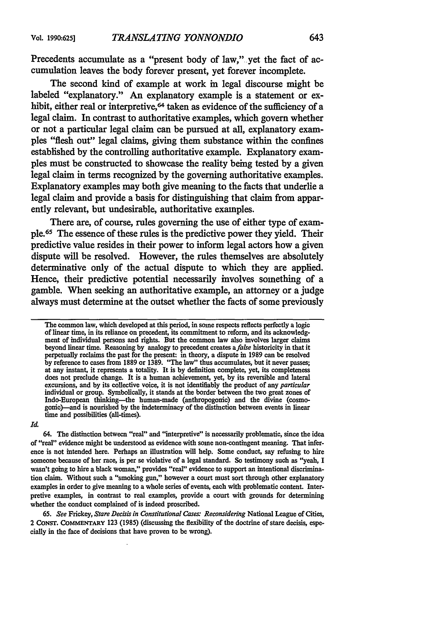Precedents accumulate as a "present body of law," yet the fact of accumulation leaves the body forever present, yet forever incomplete.

The second kind of example at work in legal discourse might be labeled "explanatory." An explanatory example is a statement or exhibit, either real or interpretive,<sup>64</sup> taken as evidence of the sufficiency of a legal claim. In contrast to authoritative examples, which govern whether or not a particular legal claim can be pursued at all, explanatory examples "flesh out" legal claims, giving them substance within the confines established **by** the controlling authoritative example. Explanatory examples must be constructed to showcase the reality being tested **by** a given legal claim in terms recognized **by** the governing authoritative examples. Explanatory examples may both give meaning to the facts that underlie a legal claim and provide a basis for distinguishing that claim from apparently relevant, but undesirable, authoritative examples.

There are, of course, rules governing the use of either type of example.65 The essence of these rules is the predictive power they yield. Their predictive value resides in their power to inform legal actors how a given dispute will be resolved. However, the rules themselves are absolutely determinative only of the actual dispute to which they are applied. Hence, their predictive potential necessarily involves something of a gamble. When seeking an authoritative example, an attorney or a judge always must determine at the outset whether the facts of some previously

*Id.*

64. The distinction between "real" and "interpretive" is necessarily problematic, since the idea of "real" evidence might be understood as evidence with some non-contingent meaning. That inference is not intended here. Perhaps an illustration will help. Some conduct, say refusing to hire someone because of her race, is per se violative of a legal standard. So testimony such as "yeah, I wasn't going to hire a black woman," provides "real" evidence to support an intentional discrimination claim. Without such a "smoking gun," however a court must sort through other explanatory examples in order to give meaning to a whole series of events, each with problematic content. Interpretive examples, in contrast to real examples, provide a court with grounds for **determining** whether the conduct complained of is indeed proscribed.

**65.** *See* Frickey, *Stare Decisis in Constitutional Cases Reconsidering* National League of Cities, 2 **CONST. COMMENTARY 123** (1985) (discussing the flexibility of the doctrine of stare decisis, especially in the face of decisions that have proven to be wrong).

The common law, which developed at this period, in some respects reflects perfectly a logic of linear time, in its reliance on precedent, its commitment to reform, and its acknowledgment of individual persons and rights. But the common law also involves larger claims beyond linear time. Reasoning **by** analogy to precedent creates *afalse* historicity in that it perpetually reclaims the past for the present: in theory, a dispute in **1989** can be resolved **by** reference to cases from **1889** or **1389.** "The law" thus accumulates, but it never passes; at any instant, it represents a totality. It is **by** definition complete, yet, its completeness does not preclude change. It is a human achievement, yet, **by** its reversible and lateral excursions, and **by** its collective voice, it is not identifiably the product of any *particular* individual or group. Symbolically, it stands at the border between the two great zones of Indo-European thinking-the human-made (anthropogonic) and the divine (cosmogonic)-and is nourished **by** the indeterminacy of the distinction between events in linear time and possibilities (all-times).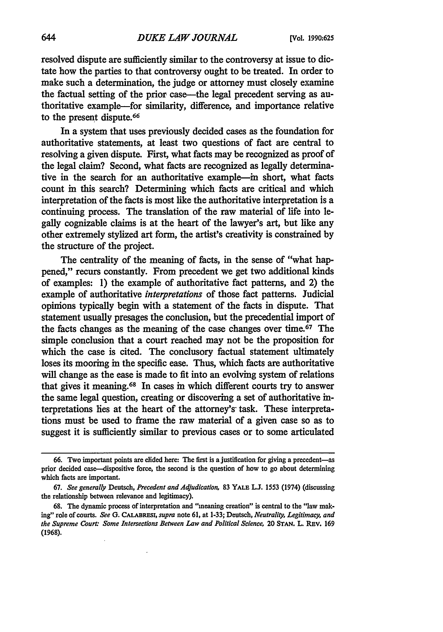resolved dispute are sufficiently similar to the controversy at issue to dictate how the parties to that controversy ought to be treated. In order to make such a determination, the judge or attorney must closely examine the factual setting of the prior case-the legal precedent serving as authoritative example-for similarity, difference, and importance relative to the present dispute.<sup>66</sup>

In a system that uses previously decided cases as the foundation for authoritative statements, at least two questions of fact are central to resolving a given dispute. First, what facts may be recognized as proof of the legal claim? Second, what facts are recognized as legally determinative in the search for an authoritative example-in short, what facts count in this search? Determining which facts are critical and which interpretation of the facts is most like the authoritative interpretation is a continuing process. The translation of the raw material of life into legally cognizable claims is at the heart of the lawyer's art, but like any other extremely stylized art form, the artist's creativity is constrained by the structure of the project.

The centrality of the meaning of facts, in the sense of "what happened," recurs constantly. From precedent we get two additional kinds of examples: 1) the example of authoritative fact patterns, and 2) the example of authoritative *interpretations* of those fact patterns. Judicial opinions typically begin with a statement of the facts in dispute. That statement usually presages the conclusion, but the precedential import of the facts changes as the meaning of the case changes over time. 67 The simple conclusion that a court reached may not be the proposition for which the case is cited. The conclusory factual statement ultimately loses its mooring in the specific case. Thus, which facts are authoritative will change as the ease is made to fit into an evolving system of relations that gives it meaning. 68 In cases in which different courts try to answer the same legal question, creating or discovering a set of authoritative interpretations lies at the heart of the attorney's task. These interpretations must be used to frame the raw material of a given case so as to suggest it is sufficiently similar to previous cases or to some articulated

**<sup>66.</sup>** Two important points are elided here: The first is a justification for giving a precedent-as prior decided case-dispositive force, the second is the question of how to go about determining which facts are important.

<sup>67.</sup> *See generally* Deutsch, *Precedent and Adjudication,* **83 YALE L..** 1553 (1974) (discussing the relationship between relevance and legitimacy).

**<sup>68.</sup>** The dynamic process of interpretation and "meaning creation" is central to the "law making" role of courts. *See G.* CALABREsI, *supra* note 61, at 1-33; Deutsch, *Neutrality, Legitimacy, and the Supreme Court Some Intersections Between Law and Political Science,* 20 **STAN.** L. REv. **169** (1968).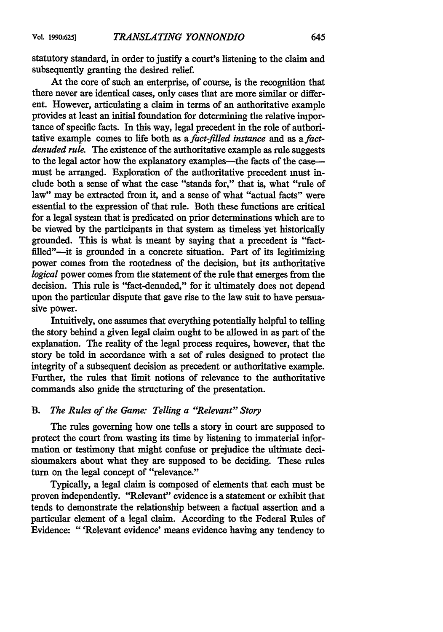statutory standard, in order to justify a court's listening to the claim and subsequently granting the desired relief.

At the core of such an enterprise, of course, is the recognition that there never are identical cases, only cases that are more similar or different. However, articulating a claim in terms of an authoritative example provides at least an initial foundation for determining the relative importance of specific facts. In this way, legal precedent in the role of authoritative example comes to life both as a *fact-filled instance* and as *a factdenuded rule.* The existence of the authoritative example as rule suggests to the legal actor how the explanatory examples-the facts of the casemust be arranged. Exploration of the authoritative precedent must include both a sense of what the case "stands for," that is, what "rule of law" may be extracted from it, and a sense of what "actual facts" were essential to the expression of that rule. Both these functions are critical for a legal system that is predicated on prior determinations which are to be viewed by the participants in that system as timeless yet historically grounded. This is what is meant by saying that a precedent is "factfilled"—it is grounded in a concrete situation. Part of its legitimizing power comes from the rootedness of the decision, but its authoritative *logical* power comes from the statement of the rule that emerges from the decision. This rule is "fact-denuded," for it ultimately does not depend upon the particular dispute that gave rise to the law suit to have persuasive power.

Intuitively, one assumes that everything potentially helpful to telling the story behind a given legal claim ought to be allowed in as part of the explanation. The reality of the legal process requires, however, that the story be told in accordance with a set of rules designed to protect the integrity of a subsequent decision as precedent or authoritative example. Further, the rules that limit notions of relevance to the authoritative commands also gnide the structuring of the presentation.

# *B. The Rules of the Game: Telling a "Relevant" Story*

The rules governing how one tells a story in court are supposed to protect the court from wasting its time by listening to immaterial information or testimony that might confuse or prejudice the ultimate decisionmakers about what they are supposed to be deciding. These rules turn on the legal concept of "relevance."

Typically, a legal claim is composed of elements that each must be proven independently. "Relevant" evidence is a statement or exhibit that tends to demonstrate the relationship between a factual assertion and a particular element of a legal claim. According to the Federal Rules of Evidence: "'Relevant evidence' means evidence having any tendency to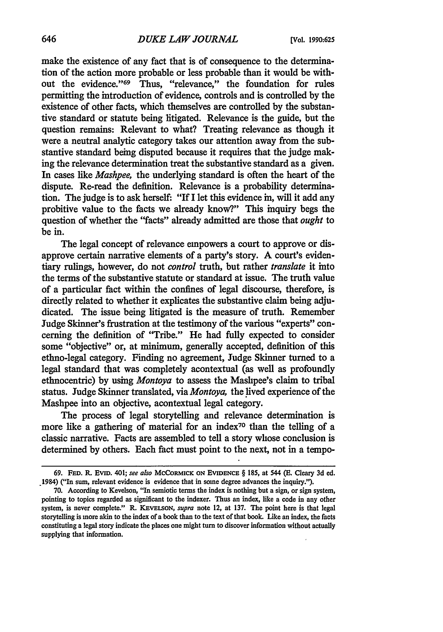make the existence of any fact that is of consequence to the determination of the action more probable or less probable than it would be without the evidence."<sup>69</sup> Thus, "relevance," the foundation for rules permitting the introduction of evidence, controls and is controlled by the existence of other facts, which themselves are controlled by the substantive standard or statute being litigated. Relevance is the guide, but the question remains: Relevant to what? Treating relevance as though it were a neutral analytic category takes our attention away from the substantive standard being disputed because it requires that the judge making the relevance determination treat the substantive standard as a given. In cases like *Mashpee,* the underlying standard is often the heart of the dispute. Re-read the definition. Relevance is a probability determination. The judge is to ask herself: "If I let this evidence in, will it add any probitive value to the facts we already know?" This inquiry begs the question of whether the "facts" already admitted are those that *ought* to be in.

The legal concept of relevance empowers a court to approve or disapprove certain narrative elements of a party's story. A court's evidentiary rulings, however, do not *control* truth, but rather *translate* it into the terms of the substantive statute or standard at issue. The truth value of a particular fact within the confines of legal discourse, therefore, is directly related to whether it explicates the substantive claim being adjudicated. The issue being litigated is the measure of truth. Remember Judge Skinner's frustration at the testimony of the various "experts" concerning the definition of "Tribe." He had fully expected to consider some "objective" or, at minimum, generally accepted, definition of this ethno-legal category. Finding no agreement, Judge Skinner turned to a legal standard that was completely acontextual (as well as profoundly ethnocentric) by using *Montoya* to assess the Mashpee's claim to tribal status. Judge Skinner translated, via *Montoya,* the lived experience of the Mashpee into an objective, acontextual legal category.

The process of legal storytelling and relevance determination is more like a gathering of material for an index<sup>70</sup> than the telling of a classic narrative. Facts are assembled to tell a story whose conclusion is determined by others. Each fact must point to the next, not in a tempo-

<sup>69.</sup> **FED.** R. **EVID.** 401; *see also* McCoRMIcK **ON EVIDENCE** § 185, at 544 **(E.** Cleary 3d ed. .1984) ('In sum, relevant evidence is evidence that in some degree advances the inquiry.").

<sup>70.</sup> According to Kevelson, "In semiotic terms the index is nothing but a sign, or sign system, pointing to topics regarded as significant to the indexer. Thus an index, like a code in any other system, is never complete." R. KEVELSON, *supra* note 12, at 137. The point here is that legal storytelling is more akin to the index of a book than to the text of that book. Like an index, the facts constituting a legal story indicate the places one might turn to discover information without actually supplying that information.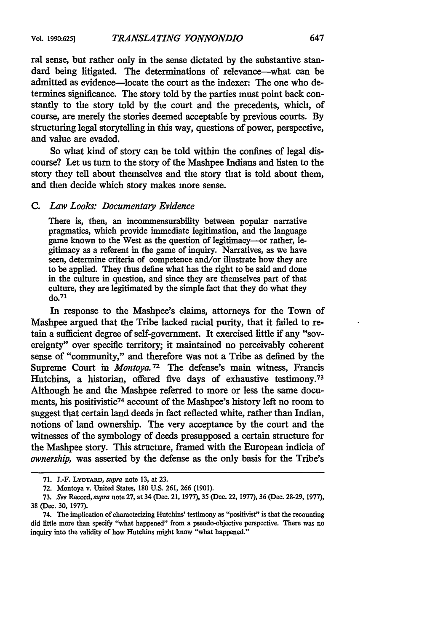ral sense, but rather only in the sense dictated by the substantive standard being litigated. The determinations of relevance-what can be admitted as evidence-locate the court as the indexer: The one who determines significance. The story told by the parties must point back constantly to the story told by the court and the precedents, which, of course, are merely the stories deemed acceptable by previous courts. By structuring legal storytelling in this way, questions of power, perspective, and value are evaded.

So what kind of story can be told within the confines of legal discourse? Let us turn to the story of the Mashpee Indians and listen to the story they tell about themselves and the story that is told about them, and then decide which story makes more sense.

#### C. *Law Looks: Documentary Evidence*

There is, then, an incommensurability between popular narrative pragmatics, which provide immediate legitimation, and the language game known to the West as the question of legitimacy---or rather, legitimacy as a referent in the game of inquiry. Narratives, as we have seen, determine criteria of competence and/or illustrate how they are to be applied. They thus define what has the right to be said and done in the culture in question, and since they are themselves part of that culture, they are legitimated by the simple fact that they do what they  $do.<sup>71</sup>$ 

In response to the Mashpee's claims, attorneys for the Town of Mashpee argued that the Tribe lacked racial purity, that it failed to retain a sufficient degree of self-government. It exercised little if any "sovereignty" over specific territory; it maintained no perceivably coherent sense of "community," and therefore was not a Tribe as defined by the Supreme Court in *Montoya. 72* The defense's main witness, Francis Hutchins, a historian, offered five days of exhaustive testimony.<sup>73</sup> Although he and the Mashpee referred to more or less the same documents, his positivistic<sup>74</sup> account of the Mashpee's history left no room to suggest that certain land deeds in fact reflected white, rather than Indian, notions of land ownership. The very acceptance by the court and the witnesses of the symbology of deeds presupposed a certain structure for the Mashpee story. This structure, framed with the European indicia of *ownership,* was asserted by the defense as the only basis for the Tribe's

<sup>71.</sup> **J.-F. LYOTARD,** *supra* note 13, at 23.

<sup>72.</sup> Montoya v. United States, 180 **U.S.** 261, 266 (1901).

<sup>73.</sup> *See* Record, *supra* note **27,** at 34 (Dec. 21, 1977), 35 (Dec. 22, 1977), 36 (Dec. 28-29, 1977), 38 (Dec. 30, 1977).

<sup>74.</sup> The implication of characterizing Hutchins' testimony as "positivist" is that the recounting did little more than specify "what happened" from a pseudo-objective perspective. There was no inquiry into the validity of how Hutchins might know "what happened."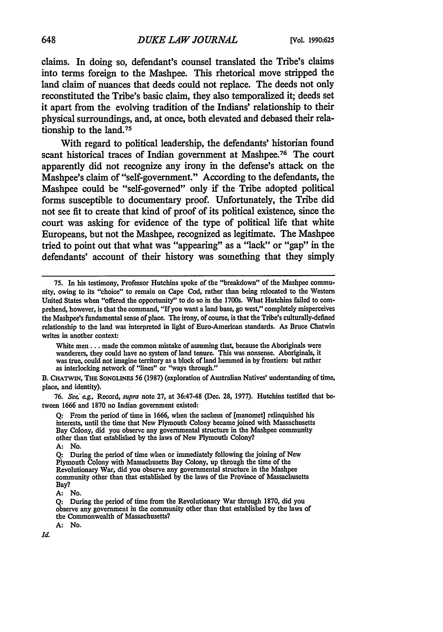claims. In doing so, defendant's counsel translated the Tribe's claims into terms foreign to the Mashpee. This rhetorical move stripped the land claim of nuances that deeds could not replace. The deeds not only reconstituted the Tribe's basic claim, they also temporalized it; deeds set it apart from the evolving tradition of the Indians' relationship to their physical surroundings, and, at once, both elevated and debased their relationship to the land.<sup>75</sup>

With regard to political leadership, the defendants' historian found scant historical traces of Indian government at Mashpee.76 The court apparently did not recognize any irony in the defense's attack on the Mashpee's claim of "self-government." According to the defendants, the Mashpee could be "self-governed" only if the Tribe adopted political forms susceptible to documentary proof. Unfortunately, the Tribe did not see fit to create that kind of proof of its political existence, since the court was asking for evidence of the type of political life that white Europeans, but not the Mashpee, recognized as legitimate. The Mashpee tried to point out that what was "appearing" as a "lack" or "gap" in the defendants' account of their history was something that they simply

White men... made the common mistake of assuming that, because the Aboriginals were wanderers, they could have no system of land tenure. This was nonsense. Aboriginals, it was true, could not imagine territory as a block of land hemmed in by frontiers: but rather as interlocking network of "lines" or "ways through."

B. **CHATWIN, THE SONGLINES** 56 (1987) (exploration of Australian Natives' understanding of time, place, and identity).

*76. See, \_g.,* Record, *supra* note 27, at 36:47-48 (Dec. **28,** 1977). Hutchins testified that between 1666 and 1870 no Indian government existed:

Q: From the period of time in 1666, when the sachem of [manomet] relinquished his interests, until the time that New Plymouth Colony became joined with Massachusetts Bay Colony, did you observe any governmental structure in the Mashpee community other than that established **by** the laws of New Plymouth Colony?

A: No. **Q:** During the period of time when or immediately following the joining of New Plymouth Colony with Massachusetts Bay Colony, up through the time of the Revolutionary War, did you observe any governmental structure in the Mashpee community other than that established **by** the laws of the Province of Massachusetts Bay?

A: No.

Q: During the period of time from the Revolutionary War through 1870, did you observe any government in the community other than that established **by** the laws of the Commonwealth of Massachusetts?

A: No.

Id.

<sup>75.</sup> In his testimony, Professor Hutchins spoke of the "breakdown" of the Mashpee community, owing to its "choice" to remain on Cape Cod, rather than being relocated to the Western United States when "offered the opportunity" to do so in the 1700s. What Hutchins failed to comprehend, however, is that the command, "If you want a land base, go west," completely misperceives the Mashpee's fundamental sense of place. The irony, of course, is that the Tribe's culturally-defined relationship to the land was interpreted in light of Euro-American standards. As Bruce Chatwin writes in another context: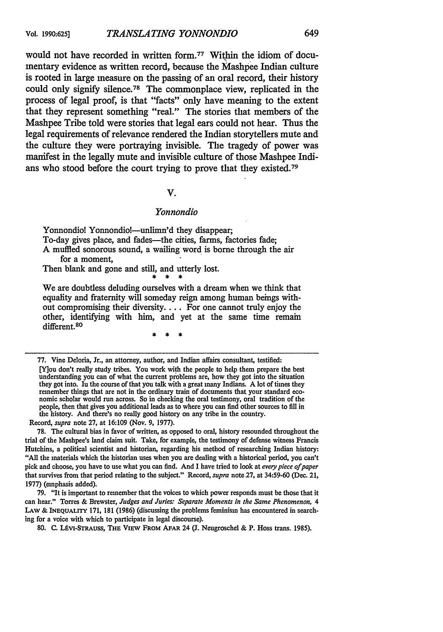would not have recorded in written form.<sup>77</sup> Within the idiom of documentary evidence as written record, because the Mashpee Indian culture is rooted in large measure on the passing of an oral record, their history could only signify silence.78 The commonplace view, replicated in the process of legal proof, is that "facts" only have meaning to the extent that they represent something "real." The stories that members of the Mashpee Tribe told were stories that legal ears could not hear. Thus the legal requirements of relevance rendered the Indian storytellers mute and the culture they were portraying invisible. The tragedy of power was manifest in the legally mute and invisible culture of those Mashpee Indians who stood before the court trying to prove that they existed.<sup>79</sup>

#### V.

#### *Yonnondio*

Yonnondio! Yonnondio!-unlimn'd they disappear; To-day gives place, and fades—the cities, farms, factories fade; A muffled sonorous sound, a wailing word is borne through the air for a moment,

Then blank and gone and still, and utterly lost.

We are doubtless deluding ourselves with a dream when we think that equality and fraternity will someday reign among human beings without compromising their diversity.... For one cannot truly enjoy the other, identifying with him, and yet at the same time remain different.<sup>80</sup>

77. Vine Deloria, Jr., an attorney, author, and Indian affairs consultant, testified: [Y]ou don't really study tribes. You work with the people to help them prepare the best understanding you can of what the current problems are, how they got into the situation they got into. In the course of that you talk with a great many Indians. A lot of times they remember things that are not in the ordinary train of documents that your standard economic scholar would run across. So in checking the oral testimony, oral tradition of the people, then that gives you additional leads as to where you can find other sources to fill in the history. And there's no really good history on any tribe in the country.

Record, *supra* note 27, at 16:109 (Nov. 9, 1977).

78. The cultural bias in favor of written, as opposed to oral, history resounded throughout the trial of the Mashpee's land claim suit. Take, for example, the testimony of defense witness Francis Hutchins, a political scientist and historian, regarding his method of researching Indian history: "All the materials which the historian uses when you are dealing with a historical period, you can't pick and choose, you have to use what you can find. And I have tried to look at *every piece ofpaper* that survives from that period relating to the subject." Record, *supra* note 27, at 34:59-60 (Dec. 21, 1977) (emphasis added).

79. "It is important to remember that the voices to which power responds must be those that it can hear." Torres & Brewster, *Judges and Juries: Separate Moments in the Same Phenomenon, 4* LAW **& INEQUALITY** 171, 181 (1986) (discussing the problems feminism has encountered in searching for a voice with which to participate in legal discourse).

80. C. Lévi-Strauss, The View From AFAR 24 (J. Neugroschel & P. Hoss trans. 1985).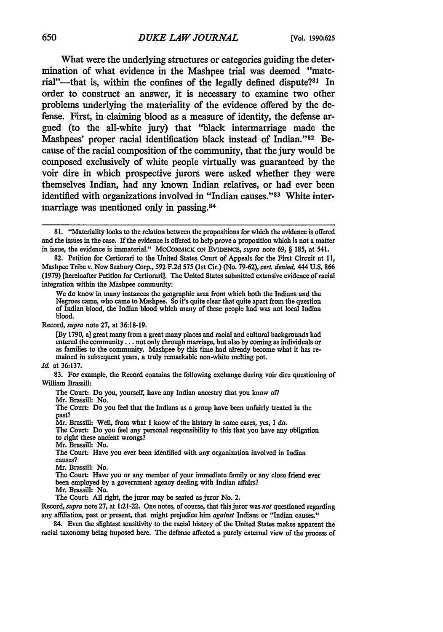What were the underlying structures or categories guiding the determination of what evidence in the Mashpee trial was deemed "material"—that is, within the confines of the legally defined dispute?<sup>81</sup> In order to construct an answer, it is necessary to examine two other problems underlying the materiality of the evidence offered **by** the defense. First, in claiming blood as a measure of identity, the defense argued (to the all-white jury) that "black intermarriage made the Mashpees' proper racial identification black instead of Indian."82 Because of the racial composition of the community, that the jury would be composed exclusively of white people virtually was guaranteed **by** the voir dire in which prospective jurors were asked whether they were themselves Indian, had any known Indian relatives, or had ever been identified with organizations involved in "Indian causes."<sup>83</sup> White intermarriage was mentioned only in passing.<sup>84</sup>

We do know in many instances the geographic area from which both the Indians and the Negroes came, who came to Mashpee. So it's quite clear that quite apart from the question of Indian blood, the Indian blood which many of these people had was not local Indian blood.

Record, *supra* note **27,** at **36:18-19.**

**[By 1790,** a] great many from a great many places and racial and cultural backgrounds had entered the community... not only through marriage, but also **by** coming as individuals or as families to the community. Mashpee **by** this time had already become what it has remained in subsequent years, a truly remarkable non-white melting pot.

*Id.* at **36:137.**

**83.** For example, the Record contains the following exchange during voir dire questioning of William Brassill:

**The** Court: Do you, yourself, have any Indian ancestry that you know of? Mr. Brassill: No.

The Court: Do you feel that the Indians as a group have been unfairly treated in the past?

Mr. Brassil: Well, from what I know of the history in some cases, yes, I do.

The Court: Do you feel any personal responsibility to this that you have any obligation to right these ancient wrongs?

Mr. **Brassil:** No.

The Court: Have you ever been identified with any organization involved in Indian causes?

Mr. Brassill: No.

The Court: Have you or any member of your immediate family or any close friend ever been employed by a government agency dealing with Indian affairs?

Mr. Brassill: No.

The Court: **All** right, the juror may be seated as juror No. 2.

Record, *supra* note **27,** at 1:21-22. One notes, of course, that this juror was *not* questioned regarding any affiliation, past or present, that might prejudice him *against* Indians or "Indian causes."

84. Even the slightest sensitivity to the racial history of the United States makes apparent the racial taxonomy being imposed here. The defense affected a purely external view of the process of

**<sup>81.</sup>** "Materiality looks to the relation between the propositions for which the evidence is offered and the issues in the case. If the evidence is offered to help prove a proposition which is not a matter in issue, the evidence is immaterial." **MCCORMICK ON EVIDENCE,** *supra* note **69,** § **185,** at 541,

**<sup>82.</sup>** Petition for Certiorari to the United States Court of Appeals for the First Circuit at **11,** Mashpee Tribe v. New Seabury Corp., **592 F.2d 575** (1st Cir.) (No. **79-62),** *cert. denied,* 444 **U.S. 866 (1979)** [hereinafter Petition for Certiorari]. The United States submitted extensive evidence of racial integration within the Mashpee community: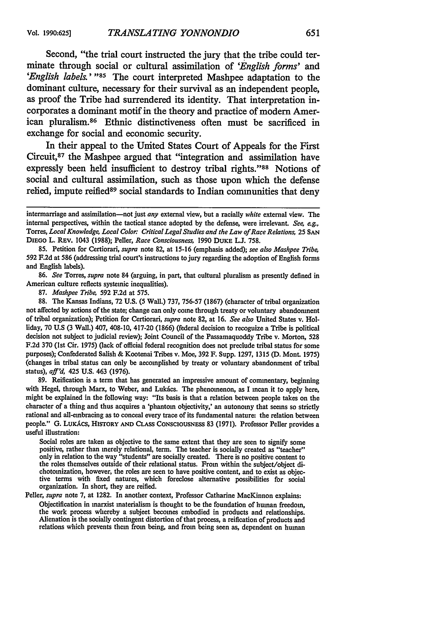Second, "the trial court instructed the jury that the tribe could terminate through social or cultural assimilation of *'English forms' and* '*English labels.'* "<sup>85</sup> The court interpreted Mashpee adaptation to the dominant culture, necessary for their survival as an independent people, as proof the Tribe had surrendered its identity. That interpretation incorporates a dominant motif in the theory and practice of modem American pluralism. 86 Ethnic distinctiveness often must be sacrificed in exchange for social and economic security.

In their appeal to the United States Court of Appeals for the First Circuit, 87 the Mashpee argued that "integration and assimilation have expressly been held insufficient to destroy tribal rights."88 Notions of social and cultural assimilation, such as those upon which the defense relied, impute reified<sup>89</sup> social standards to Indian communities that deny

**86.** *See* Torres, *supra* note 84 (arguing, in part, that cultural pluralism as presently defined in American culture reflects systemic inequalities).

**87.** *Mashpee Tribe,* **592 F.2d** at **575.**

**88.** The Kansas Indians, **72 U.S. (5** Wall.) **737, 756-57 (1867)** (character of tribal organization not affected **by** actions of the state; change can only come through treaty or voluntary abandonment of tribal organization); Petition for Certiorari, *supra* note **82,** at **16.** *See also* United States v. Holliday, **70 U.S (3** Wall.) 407, 408-10, 417-20 **(1866)** (federal decision to recognize a Tribe is political decision not subject to judicial review); Joint Council of the Passamaquoddy Tribe v. Morton, **528 F.2d 370** (1st Cir. **1975)** (lack of official federal recognition does not preclude tribal status for some purposes); Confederated Salish **&** Kootenai Tribes v. Moe, **392** F. Supp. **1297, 1315 (D.** Mont. **1975)** (changes in tribal status can only be accomplished **by** treaty or voluntary abandonment of tribal status), *aff'd,* 425 **U.S.** 463 **(1976).**

**89.** Reification is a term that has generated an impressive amount of commentary, beginning with Hegel, through Marx, to Weber, and Lukics. The phenomenon, as I mean it to apply here, might be explained in the following way: "Its basis is that a relation between people takes on the character of a thing and thus acquires a 'phantom objectivity,' an autonomy that seems so strictly rational and all-embracing as to conceal every trace of its fundamental nature: the relation between people." **G.** LuKAcs, **HISTORY AND CLASS CONSCIOUSNESS 83 (1971).** Professor Peller provides a useful illustration:

Social roles are taken as objective to the same extent that they are seen to signify some positive, rather than merely relational, term. The teacher is socially created as "teacher" only in relation to the way "students" are socially created. There is no positive content to the roles themselves outside of their relational status. From within the subject/object dichotomization, however, the roles are seen to have positive content, and to exist as objective terms with fixed natures, which foreclose alternative possibilities for social organization. In short, they are reified.

Peller, *supra* note **7,** at **1282.** In another context, Professor Catharine MacKinnon explains: Objectification in marxist materialism is thought to be the foundation of human freedom, the work process whereby a subject becomes embodied in products and relationships. Alienation is the socially contingent distortion of that process, a reification of products and relations which prevents them from being, and from being seen as, dependent on human

intermarriage and assimilation-not just *any* external view, but a racially *white* external view. The internal perspectives, within the tactical stance adopted **by** the defense, were irrelevant. *See, eg.,* Torres, *Local Knowledge, Local Color: Critical Legal Studies and the Law of Race Relations,* **25 SAN DIEGO** L. REv. 1043 **(1988);** Peller, *Race Consciousness,* **1990 DUKE L.J. 758.**

**<sup>85.</sup>** Petition for Certiorari, *supra* note **82,** at **15-16** (emphasis added); *see also Mashpee Tribe,* **592 F.2d** at **586** (addressing trial court's instructions to jury regarding the adoption of English forms and English labels).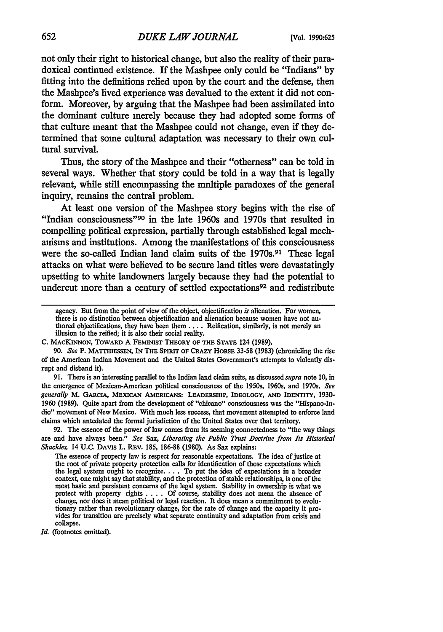not only their right to historical change, but also the reality of their paradoxical continued existence. **If** the Mashpee only could be "Indians" **by** fitting into the definitions relied upon **by** the court and the defense, then the Mashpee's lived experience was devalued to the extent it did not conform. Moreover, **by** arguing that the Mashpee had been assimilated into the dominant culture merely because they had adopted some forms of that culture meant that the Mashpee could not change, even if they determined that some cultural adaptation was necessary to their own cultural survival.

Thus, the story of the Mashpee and their "otherness" can be told in several ways. Whether that story could be told in a way that is legally relevant, while still encompassing the multiple paradoxes of the general inquiry, remains the central problem.

At least one version of the Mashpee story begins with the rise of "Indian consciousness"<sup>90</sup> in the late 1960s and 1970s that resulted in compelling political expression, partially through established legal mechanisms and institutions. Among the manifestations of this consciousness were the so-called Indian land claim suits of the 1970s.<sup>91</sup> These legal attacks on what were believed to be secure land titles were devastatingly upsetting to white landowners largely because they had the potential to undercut more than a century of settled expectations<sup>92</sup> and redistribute

91. There is an interesting parallel to the Indian land claim suits, as discussed *supra* note 10, in the emergence of Mexican-American political consciousness of the 1950s, 1960s, and 1970s. *See generally* M. **GARCIA,** MEXICAN AMERICANS: **LEADERSHIP,** IDEOLOGY, **AND IDENTITY, 1930-** 1960 (1989). Quite apart from the development of "chicano" consciousness was the "Hispano-Indio" movement of New Mexico. With much less success, that movement attempted to enforce land claims which antedated the formal jurisdiction of the United States over that territory.

92. The essence of the power of law comes from its seeming connectedness to "the way things are and have always been." *See* Sax, *Liberating the Public Trust Doctrine from Its Historical Shackles,* 14 **U.C.** DAvIs L. REv. 185, 186-88 (1980). As Sax explains:

*Id.* (footnotes omitted).

agency. But from the point of view of the object, objectification *is* alienation. For women, there is no distinction between objectification and alienation because women have not authored objectifications, they have been them  $\dots$ . Reification, similarly, is not merely an illusion to the reified; it is also their social reality.

**C.** MACKINNON, TOWARD A FEMINIST **THEORY** OF **THE STATE** 124 (1989).

<sup>90.</sup> *See* P. **MATrHIESSEN, IN THE SPIrr OF CRAzY HORSE** 33-58 (1983) (chronicling the rise of the American Indian Movement and the United States Government's attempts to violently disrupt and disband it).

The essence of property law is respect for reasonable expectations. The idea of justice at the root of private property protection calls for identification of those expectations which the legal system ought to recognize **....** To put the idea of expectations in a broader context, one might say that stability, and the protection of stable relationships, is one of the most basic and persistent concerns of the legal system. Stability in ownership is what we protect with property rights **....** Of course, stability does not mean the absence of change, nor does it mean political or legal reaction. It does mean a commitment to evolutionary rather than revolutionary change, for the rate of change and the capacity it provides for transition are precisely what separate continuity and adaptation from crisis and collapse.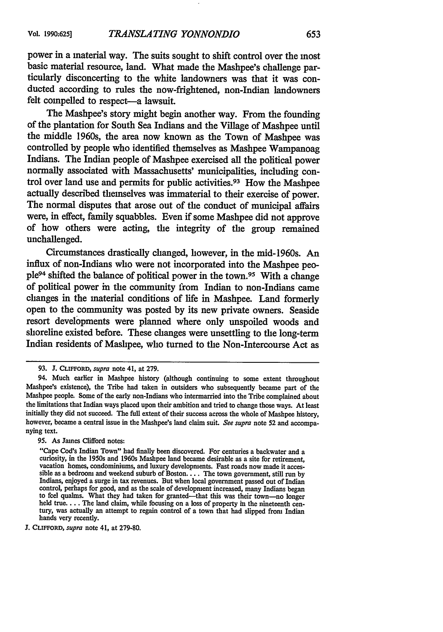power in a material way. The suits sought to shift control over the most basic material resource, land. What made the Mashpee's challenge particularly disconcerting to the white landowners was that it was conducted according to rules the now-frightened, non-Indian landowners felt compelled to respect-a lawsuit.

The Mashpee's story might begin another way. From the founding of the plantation for South Sea Indians and the Village of Mashpee until the middle 1960s, the area now known as the Town of Mashpee was controlled **by** people who identified themselves as Mashpee Wampanoag Indians. The Indian people of Mashpee exercised all the political power normally associated with Massachusetts' municipalities, including control over land use and permits for public activities. 93 How the Mashpee actually described themselves was immaterial to their exercise of power. The normal disputes that arose out of the conduct of municipal affairs were, in effect, family squabbles. Even if some Mashpee did not approve of how others were acting, the integrity of the group remained unchallenged.

Circumstances drastically changed, however, in the mid-1960s. An influx of non-Indians who were not incorporated into the Mashpee people94 shifted the balance of political power in the town.95 With a change of political power in the community from Indian to non-Indians came changes in the material conditions of life in Mashpee. Land formerly open to the community was posted **by** its new private owners. Seaside resort developments were planned where only unspoiled woods and shoreline existed before. These changes were unsettling to the long-term Indian residents of Mashpee, who turned to the Non-Intercourse Act as

95. As James Clifford notes:

**J.** CLIFFORD, *supra* note 41, at **279-80.**

<sup>93.</sup> **J.** CLIFFORD, *supra* note 41, at 279.

<sup>94.</sup> Much earlier in Mashpee history (although continuing to some extent throughout Mashpee's existence), the Tribe had taken in outsiders who subsequently became part of the Mashpee people. Some of the early non-Indians who intermarried into the Tribe complained about the limitations that Indian ways placed upon their ambition and tried to change those ways. At least initially they did not succeed. The full extent of their success across the whole of Mashpee history, however, became a central issue in the Mashpee's land claim suit. *See supra* note 52 and accompanying text.

<sup>&</sup>quot;Cape Cod's Indian Town" had finally been discovered. For centuries a backwater and a curiosity, in the 1950s and 1960s Mashpee land became desirable as a site for retirement, vacation homes, condominiums, and luxury developments. Fast roads now made it accessible as a bedroom and weekend suburb of Boston.... The town government, still run by Indians, enjoyed a surge in tax revenues. But when local government passed out of Indian control, perhaps for good, and as the scale of development increased, many Indians began to feel qualms. What they had taken for granted-that this was their town-no longer held true.... The land claim, while focusing on a loss of property in the nineteenth century, was actually an attempt to regain control of a town that had slipped from Indian hands very recently.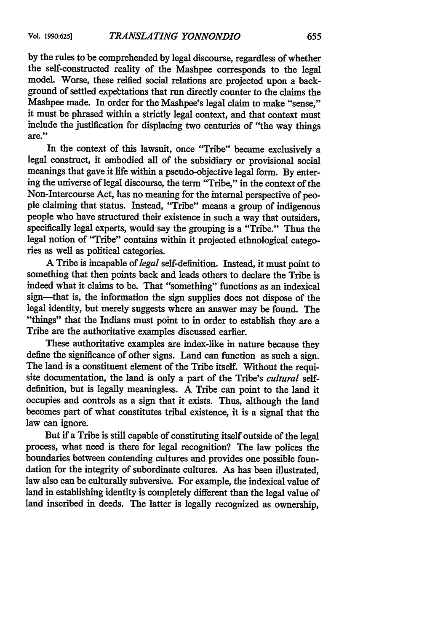# by the rules to be comprehended by legal discourse, regardless of whether the self-constructed reality of the Mashpee corresponds to the legal model. Worse, these reified social relations are projected upon a background of settled expebtations that run directly counter to the claims the Mashpee made. In order for the Mashpee's legal claim to make "sense," it must be phrased within a strictly legal context, and that context must include the justification for displacing two centuries of "the way things are."

In the context of this lawsuit, once "Tribe" became exclusively a legal construct, it embodied all of the subsidiary or provisional social meanings that gave it life within a pseudo-objective legal form. By entering the universe of legal discourse, the term "Tribe," in the context of the Non-Intercourse Act, has no meaning for the internal perspective of people claiming that status. Instead, "Tribe" means a group of indigenous people who have structured their existence in such a way that outsiders, specifically legal experts, would say the grouping is a "Tribe." Thus the legal notion of "Tribe" contains within it projected ethnological categories as well as political categories.

A Tribe is incapable of *legal* self-definition. Instead, it must point to something that then points back and leads others to declare the Tribe is indeed what it claims to be. That "something" functions as an indexical sign—that is, the information the sign supplies does not dispose of the legal identity, but merely suggests where an answer may be found. The "things" that the Indians must point to in order to establish they are a Tribe are the authoritative examples discussed earlier.

These authoritative examples are index-like in nature because they define the significance of other signs. Land can function as such a sign. The land is a constituent element of the Tribe itself. Without the requisite documentation, the land is only a part of the Tribe's *cultural* selfdefinition, but is legally meaningless. A Tribe can point to the land it occupies and controls as a sign that it exists. Thus, although the land becomes part of what constitutes tribal existence, it is a signal that the law can ignore.

But if a Tribe is still capable of constituting itself outside of the legal process, what need is there for legal recognition? The law polices the boundaries between contending cultures and provides one possible foundation for the integrity of subordinate cultures. As has been illustrated, law also can be culturally subversive. For example, the indexical value of land in establishing identity is completely different than the legal value of land inscribed in deeds. The latter is legally recognized as ownership,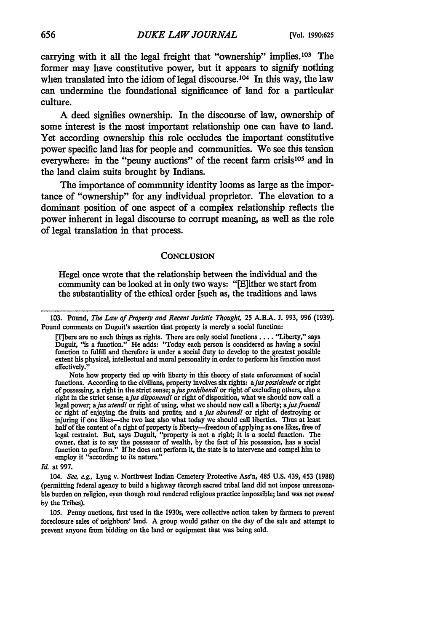carrying with it all the legal freight that "ownership" implies.<sup>103</sup> The former may have constitutive power, but it appears to signify nothing when translated into the idiom of legal discourse.10 4 In this way, the law can undermine the foundational significance of land for a particular culture.

**A** deed signifies ownership. In the discourse of law, ownership of some interest is the most important relationship one can have to land. Yet according ownership this role occludes the important constitutive power specific land has for people and communities. We see this tension everywhere: in the "peuny auctions" of the recent farm crisis<sup>105</sup> and in the land claim suits brought **by** Indians.

The importance of community identity looms as large as the importance of "ownership" for any individual proprietor. The elevation to a dominant position of one aspect of a complex relationship reflects the power inherent in legal discourse to corrupt meaning, as well as the role of legal translation in that process.

#### **CONCLUSION**

Hegel once wrote that the relationship between the individual and the community can be looked at in only two ways: "[E]ither we start from the substantiality of the ethical order [such as, the traditions and laws

[Tlhere **are** no such things as rights. There are only social functions .... "Liberty," says Duguit, "is a function." He adds: "Today each person is considered as having a social function to fulfill and therefore is under a social duty to develop to the greatest possible extent his physical, intellectual and moral personality in order to perform his function most effectively.

Note how property tied up with liberty in this theory of state enforcement of social functions. According to the civilians, property involves six rights: *ajuspossidende* or right of possessing, a right in the strict sense; *ajusprohibendi* or right of excluding others, also a right in the strict sense; ajus *disponendi* or right of disposition, what we should now call a or right of enjoying the fruits and profits; and a *jus abutendi* or right of destroying or<br>injuring if one likes—the two last also what today we should call liberties. Thus at least half of the content of a right of property is liberty—freedom of applying as one likes, free of legal restraint. But, says Duguit, "property is not a right; it is a social function. The owner, that is to say the possessor of wealth, **by** the fact of his possession, has a social function to perform." If he does not perform it, the state is to intervene and compel him to employ it "according to its nature."

#### *Id.* at **997.**

*104. See, eg.,* Lyng v. Northwest Indian Cemetery Protective Ass'n, 485 **U.S.** 439, 453 **(1988)** (permitting federal agency to build a highway through sacred tribal land did not impose unreasonable burden on religion, eyen though road rendered religious practice impossible; land was not *owned* **by** the Tribes).

105. Penny auctions, first used in the 1930s, were collective action taken **by** farmers to prevent foreclosure sales of neighbors' land. A group would gather on the day of the sale and attempt to prevent anyone from bidding on the land or equipment that was being sold.

**<sup>103.</sup>** Pound, *The Law of Property and Recent Juristic Thought,* 25 **A.B.A. J. 993, 996 (1939).** Pound comments on Duguit's assertion that property is merely a social function: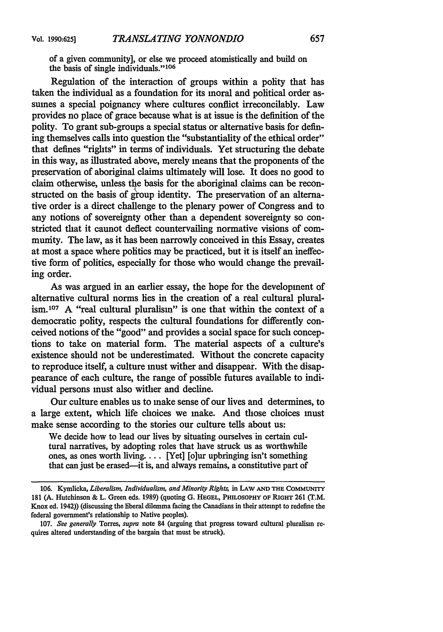of a given community], or else we proceed atomistically and build on the basis of single individuals."<sup>106</sup>

Regulation of the interaction of groups within a polity that has taken the individual as a foundation for its moral and political order assumes a special poignancy where cultures conflict irreconcilably. Law provides no place of grace because what is at issue is the definition of the polity. To grant sub-groups a special status or alternative basis for defining themselves calls into question the "substantiality of the ethical order" that defines "fights" in terms of individuals. Yet structuring the debate in this way, as illustrated above, merely means that the proponents of the preservation of aboriginal claims ultimately will lose. It does no good to claim otherwise, unless the basis for the aboriginal claims can be reconstructed on the basis of group identity. The preservation of an alternative order is a direct challenge to the plenary power of Congress and to any notions of sovereignty other than a dependent sovereignty so constricted that it cannot deflect countervailing normative visions of community. The law, as it has been narrowly conceived in this Essay, creates at most a space where politics may be practiced, but it is itself an ineffective form of politics, especially for those who would change the prevailing order.

As was argued in an earlier essay, the hope for the development of alternative cultural norms lies in the creation of a real cultural pluralism.<sup>107</sup> A "real cultural pluralism" is one that within the context of a democratic polity, respects the cultural foundations for differently conceived notions of the "good" and provides a social space for such conceptions to take on material form. The material aspects of a culture's existence should not be underestimated. Without the concrete capacity to reproduce itself, a culture must wither and disappear. With the disappearance of each culture, the range of possible futures available to individual persons must also wither and decline.

Our culture enables us to make sense of our lives and determines, to a large extent, which life choices we make. And those choices must make sense according to the stories our culture tells about us:

We decide how to lead our lives by situating ourselves in certain cultural narratives, by adopting roles that have struck us as worthwhile ones, as ones worth living.... [Yet] [o]ur upbringing isn't something that can just be erased-it is, and always remains, a constitutive part of

107. *See generally* Torres, *supra* note 84 (arguing that progress toward cultural pluralism requires altered understanding of the bargain that must be struck).

<sup>106.</sup> Kymlicka, *Liberalism, Individualism, and Minority Rights,* in **LAW AND THE** COMMUNITY 181 (A. Hutchinson & L. Green eds. 1989) (quoting **G.** HEGEL, PHILOSOPHY **OF RIGHT** 261 ('.M. Knox ed. 1942)) (discussing the liberal dilemma facing the Canadians in their attempt to redefine the federal government's relationship to Native peoples).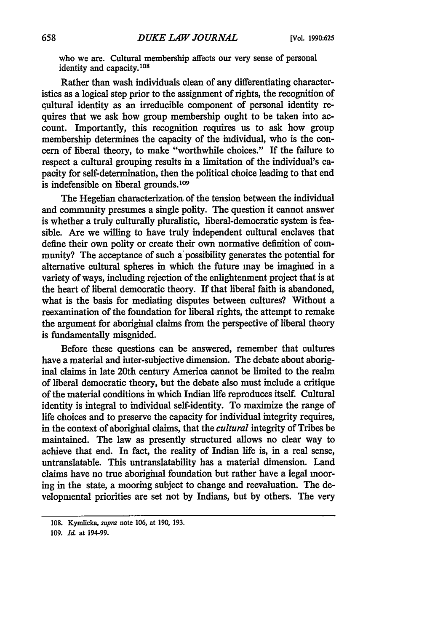who we are. Cultural membership affects our very sense of personal identity and capacity.<sup>108</sup>

Rather than wash individuals clean of any differentiating characteristics as a logical step prior to the assignment of rights, the recognition of cultural identity as an irreducible component of personal identity requires that we ask how group membership ought to be taken into account. Importantly, this recognition requires us to ask how group membership determines the capacity of the individual, who is the concern of liberal theory, to make "worthwhile choices." If the failure to respect a cultural grouping results in a limitation of the individual's capacity for self-determination, then the political choice leading to that end is indefensible on liberal grounds.<sup>109</sup>

The Hegelian characterization. of the tension between the individual and community presumes a single polity. The question it cannot answer is whether a truly culturally pluralistic, liberal-democratic system is feasible. Are we willing to have truly independent cultural enclaves that define their own polity or create their own normative definition of community? The acceptance of such a possibility generates the potential for alternative cultural spheres in which the future may be imagined in a variety of ways, including rejection of the enlightenment project that is at the heart of liberal democratic theory. If that liberal faith is abandoned, what is the basis for mediating disputes between cultures? Without a reexamination of the foundation for liberal rights, the attempt to remake the argument for aboriginal claims from the perspective of liberal theory is fundamentally misgnided.

Before these questions can be answered, remember that cultures have a material and inter-subjective dimension. The debate about aboriginal claims in late 20th century America cannot be limited to the realm of liberal democratic theory, but the debate also must include a critique of the material conditions in which Indian life reproduces itself. Cultural identity is integral to individual self-identity. To maximize the range of life choices and to preserve the capacity for individual integrity requires, in the context of aboriginal claims, that the *cultural* integrity of Tribes be maintained. The law as presently structured allows no clear way to achieve that end. In fact, the reality of Indian life is, in a real sense, untranslatable. This untranslatability has a material dimension. Land claims have no true aboriginal foundation but rather have a legal mooring in the state, a mooring subject to change and reevaluation. The developmental priorities are set not by Indians, but by others. The very

<sup>108.</sup> Kymlicka, *supra* note **106,** at **190, 193.**

<sup>109.</sup> *Id.* at 194-99.